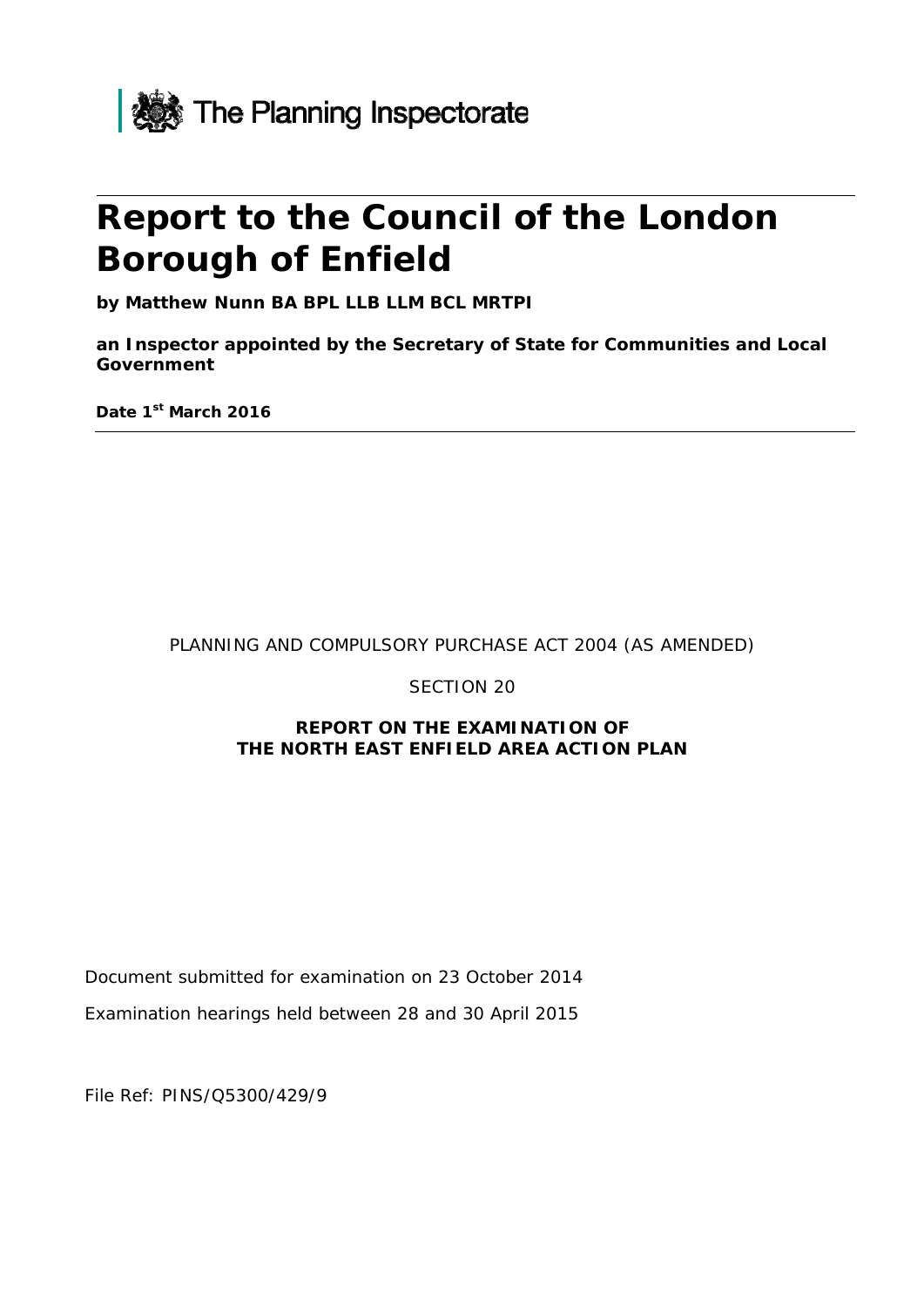

# **Report to the Council of the London Borough of Enfield**

**by Matthew Nunn BA BPL LLB LLM BCL MRTPI** 

**an Inspector appointed by the Secretary of State for Communities and Local Government**

**Date 1st March 2016** 

#### PLANNING AND COMPULSORY PURCHASE ACT 2004 (AS AMENDED)

SECTION 20

#### **REPORT ON THE EXAMINATION OF THE NORTH EAST ENFIELD AREA ACTION PLAN**

Document submitted for examination on 23 October 2014

Examination hearings held between 28 and 30 April 2015

File Ref: PINS/Q5300/429/9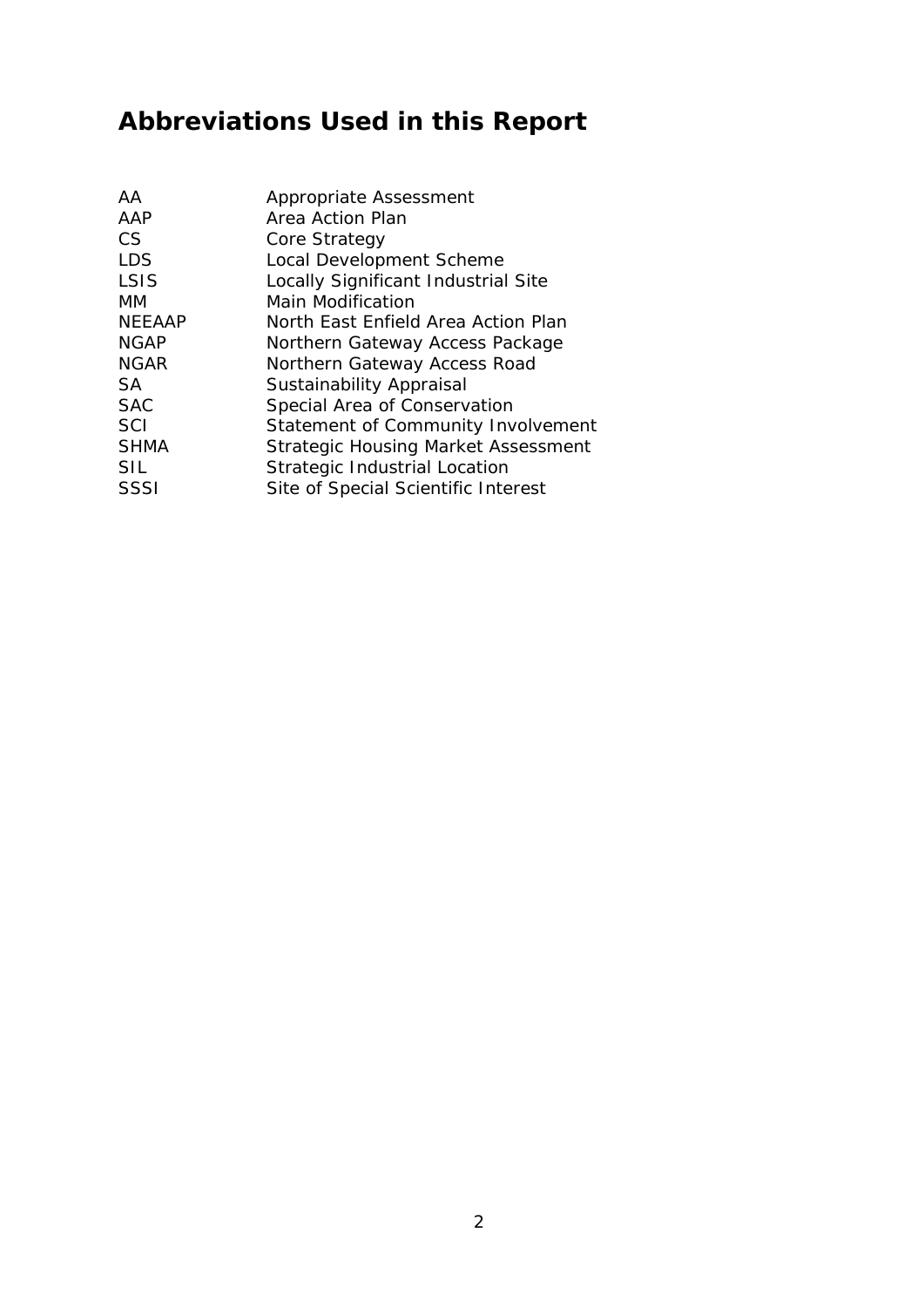# **Abbreviations Used in this Report**

| Appropriate Assessment                     |
|--------------------------------------------|
| Area Action Plan                           |
| Core Strategy                              |
| Local Development Scheme                   |
| Locally Significant Industrial Site        |
| Main Modification                          |
| North East Enfield Area Action Plan        |
| Northern Gateway Access Package            |
| Northern Gateway Access Road               |
| <b>Sustainability Appraisal</b>            |
| Special Area of Conservation               |
| Statement of Community Involvement         |
| <b>Strategic Housing Market Assessment</b> |
| <b>Strategic Industrial Location</b>       |
| Site of Special Scientific Interest        |
|                                            |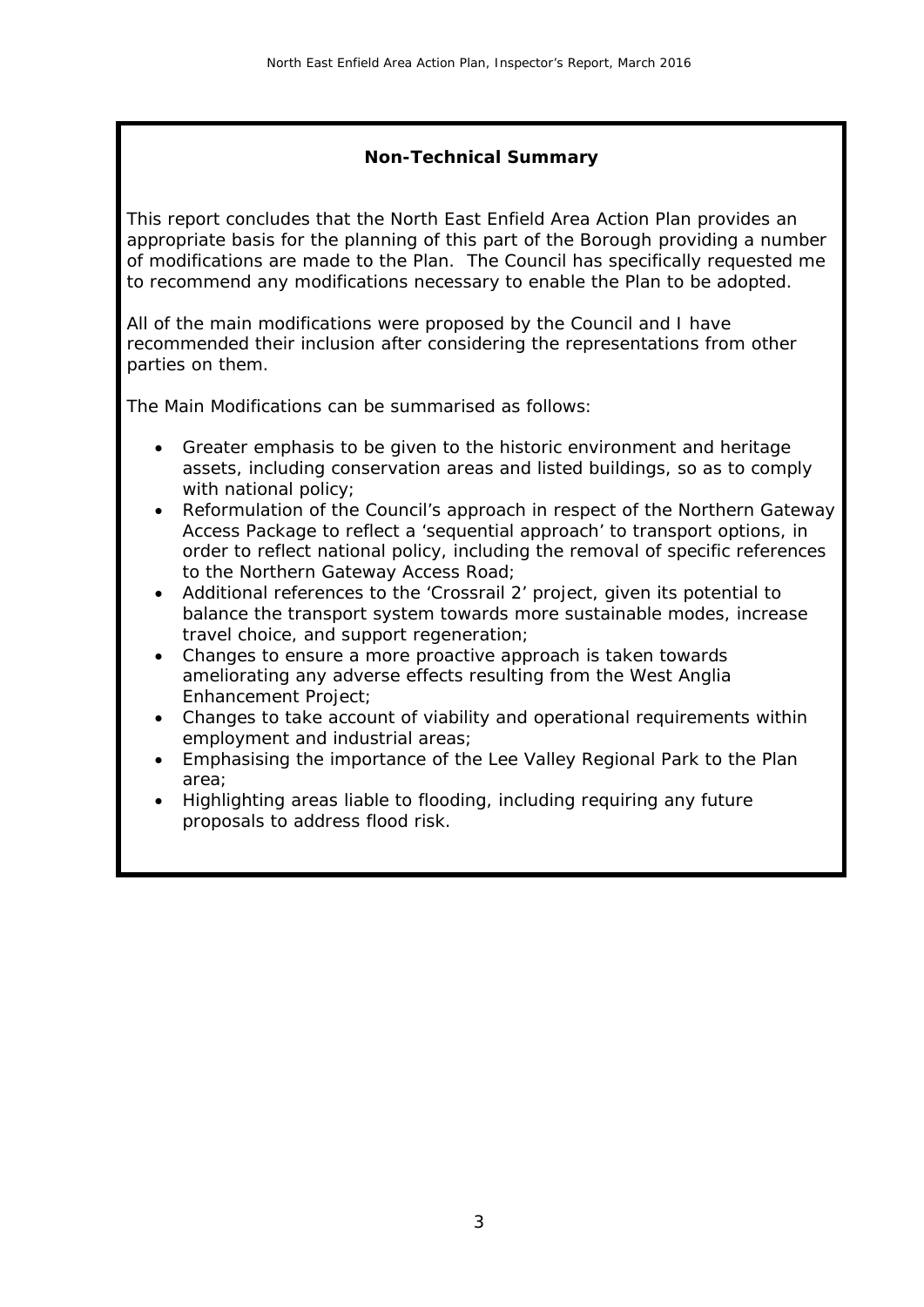### **Non-Technical Summary**

This report concludes that the North East Enfield Area Action Plan provides an appropriate basis for the planning of this part of the Borough providing a number of modifications are made to the Plan. The Council has specifically requested me to recommend any modifications necessary to enable the Plan to be adopted.

All of the main modifications were proposed by the Council and I have recommended their inclusion after considering the representations from other parties on them.

The Main Modifications can be summarised as follows:

- Greater emphasis to be given to the historic environment and heritage assets, including conservation areas and listed buildings, so as to comply with national policy;
- Reformulation of the Council's approach in respect of the Northern Gateway Access Package to reflect a 'sequential approach' to transport options, in order to reflect national policy, including the removal of specific references to the Northern Gateway Access Road;
- Additional references to the 'Crossrail 2' project, given its potential to balance the transport system towards more sustainable modes, increase travel choice, and support regeneration;
- Changes to ensure a more proactive approach is taken towards ameliorating any adverse effects resulting from the West Anglia Enhancement Project;
- Changes to take account of viability and operational requirements within employment and industrial areas;
- Emphasising the importance of the Lee Valley Regional Park to the Plan area;
- Highlighting areas liable to flooding, including requiring any future proposals to address flood risk.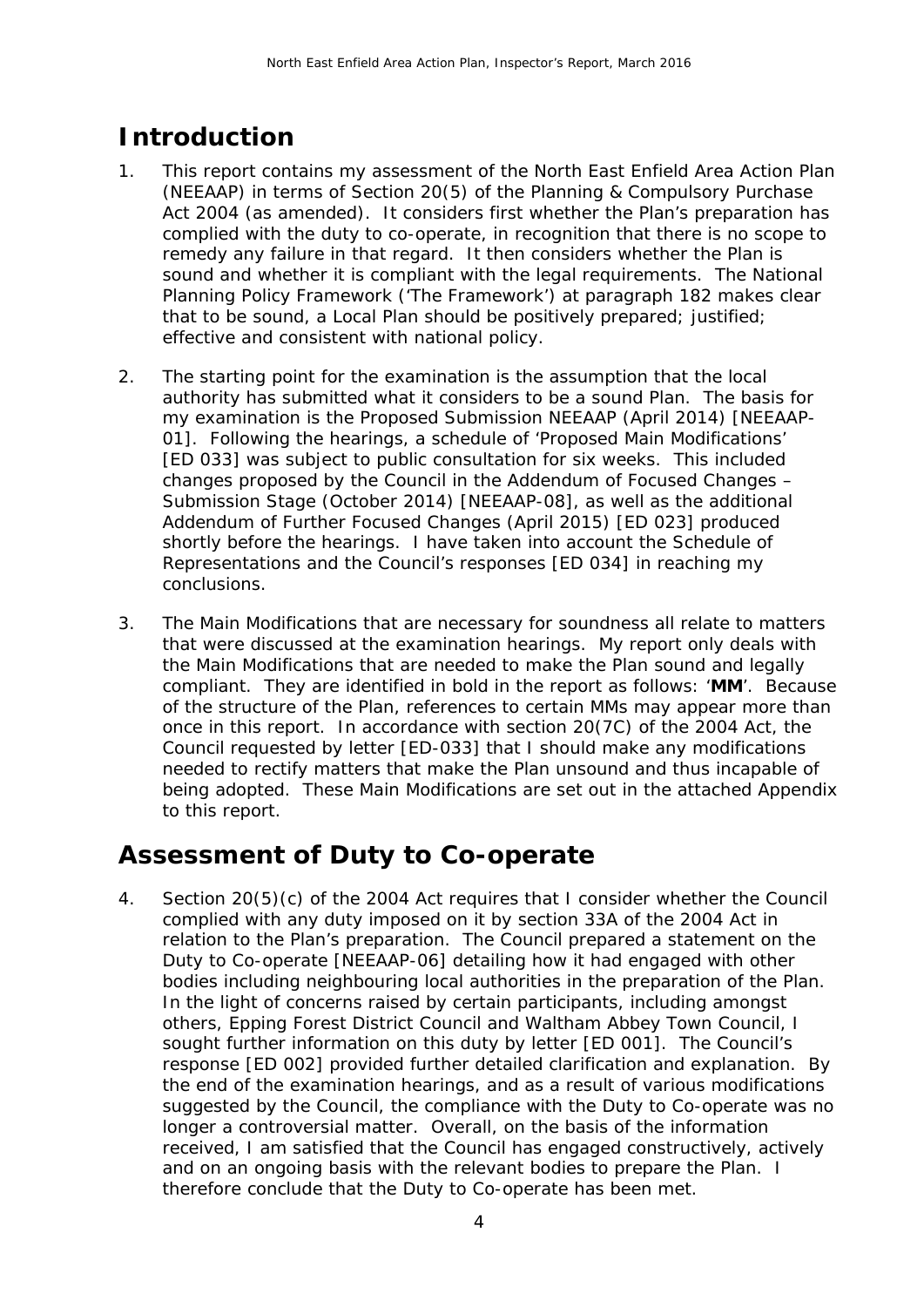# **Introduction**

- 1. This report contains my assessment of the North East Enfield Area Action Plan (NEEAAP) in terms of Section 20(5) of the Planning & Compulsory Purchase Act 2004 (as amended). It considers first whether the Plan's preparation has complied with the duty to co-operate, in recognition that there is no scope to remedy any failure in that regard. It then considers whether the Plan is sound and whether it is compliant with the legal requirements. The National Planning Policy Framework ('The Framework') at paragraph 182 makes clear that to be sound, a Local Plan should be positively prepared; justified; effective and consistent with national policy.
- 2. The starting point for the examination is the assumption that the local authority has submitted what it considers to be a sound Plan. The basis for my examination is the Proposed Submission NEEAAP (April 2014) [NEEAAP-01]. Following the hearings, a schedule of 'Proposed Main Modifications' [ED 033] was subject to public consultation for six weeks. This included changes proposed by the Council in the Addendum of Focused Changes – Submission Stage (October 2014) [NEEAAP-08], as well as the additional Addendum of Further Focused Changes (April 2015) [ED 023] produced shortly before the hearings. I have taken into account the Schedule of Representations and the Council's responses [ED 034] in reaching my conclusions.
- 3. The Main Modifications that are necessary for soundness all relate to matters that were discussed at the examination hearings. My report only deals with the Main Modifications that are needed to make the Plan sound and legally compliant. They are identified in bold in the report as follows: '**MM**'. Because of the structure of the Plan, references to certain MMs may appear more than once in this report. In accordance with section 20(7C) of the 2004 Act, the Council requested by letter [ED-033] that I should make any modifications needed to rectify matters that make the Plan unsound and thus incapable of being adopted. These Main Modifications are set out in the attached Appendix to this report.

## **Assessment of Duty to Co-operate**

4. Section 20(5)(c) of the 2004 Act requires that I consider whether the Council complied with any duty imposed on it by section 33A of the 2004 Act in relation to the Plan's preparation. The Council prepared a statement on the Duty to Co-operate [NEEAAP-06] detailing how it had engaged with other bodies including neighbouring local authorities in the preparation of the Plan. In the light of concerns raised by certain participants, including amongst others, Epping Forest District Council and Waltham Abbey Town Council, I sought further information on this duty by letter [ED 001]. The Council's response [ED 002] provided further detailed clarification and explanation. By the end of the examination hearings, and as a result of various modifications suggested by the Council, the compliance with the Duty to Co-operate was no longer a controversial matter. Overall, on the basis of the information received, I am satisfied that the Council has engaged constructively, actively and on an ongoing basis with the relevant bodies to prepare the Plan. I therefore conclude that the Duty to Co-operate has been met.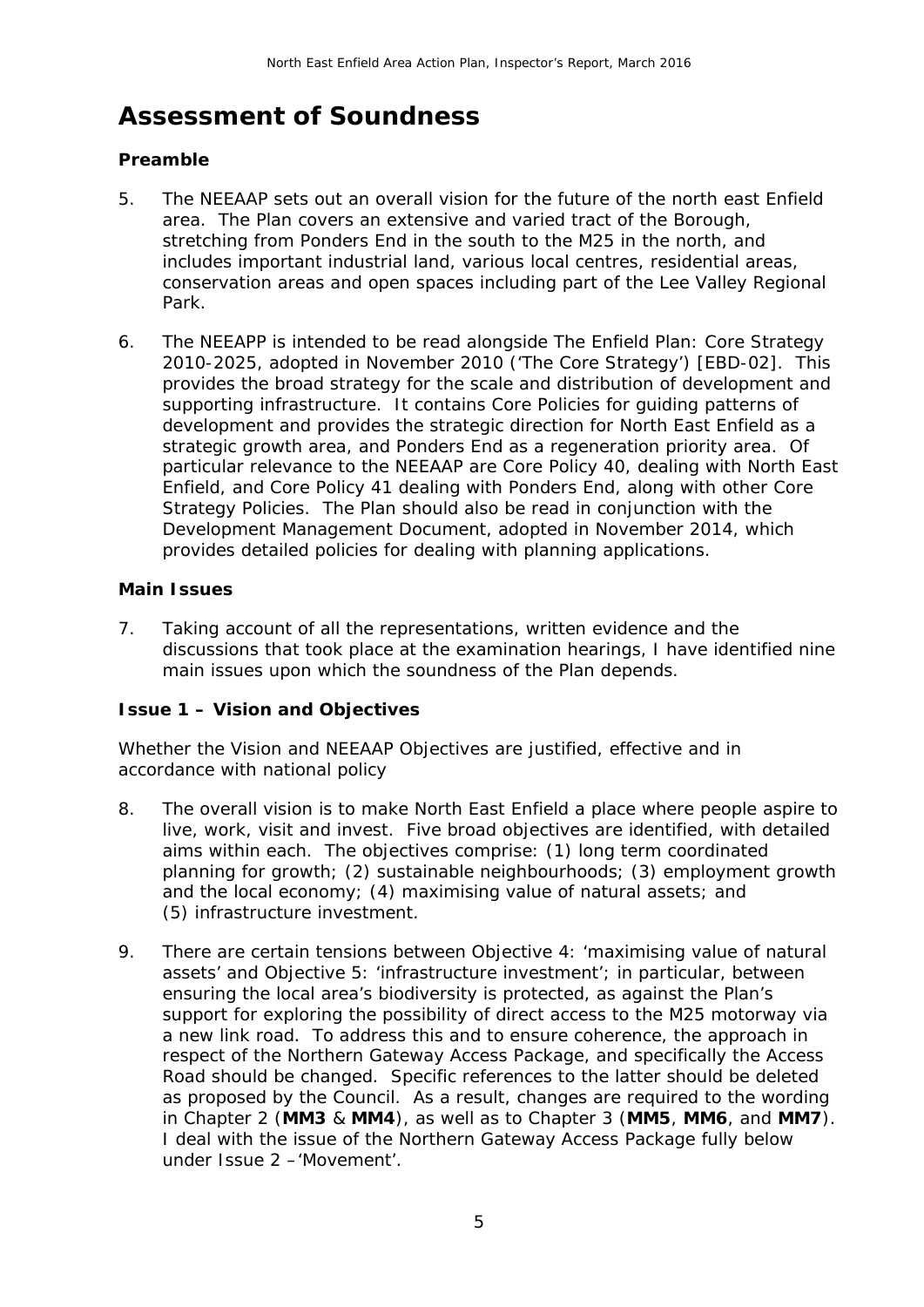# **Assessment of Soundness**

### **Preamble**

- 5. The NEEAAP sets out an overall vision for the future of the north east Enfield area. The Plan covers an extensive and varied tract of the Borough, stretching from Ponders End in the south to the M25 in the north, and includes important industrial land, various local centres, residential areas, conservation areas and open spaces including part of the Lee Valley Regional Park.
- 6. The NEEAPP is intended to be read alongside The Enfield Plan: Core Strategy 2010-2025, adopted in November 2010 ('The Core Strategy') [EBD-02]. This provides the broad strategy for the scale and distribution of development and supporting infrastructure. It contains Core Policies for guiding patterns of development and provides the strategic direction for North East Enfield as a strategic growth area, and Ponders End as a regeneration priority area. Of particular relevance to the NEEAAP are Core Policy 40, dealing with North East Enfield, and Core Policy 41 dealing with Ponders End, along with other Core Strategy Policies. The Plan should also be read in conjunction with the Development Management Document, adopted in November 2014, which provides detailed policies for dealing with planning applications.

### **Main Issues**

7. Taking account of all the representations, written evidence and the discussions that took place at the examination hearings, I have identified nine main issues upon which the soundness of the Plan depends.

### **Issue 1 – Vision and Objectives**

*Whether the Vision and NEEAAP Objectives are justified, effective and in accordance with national policy* 

- 8. The overall vision is to make North East Enfield a place where people aspire to live, work, visit and invest. Five broad objectives are identified, with detailed aims within each. The objectives comprise: (1) long term coordinated planning for growth; (2) sustainable neighbourhoods; (3) employment growth and the local economy; (4) maximising value of natural assets; and (5) infrastructure investment.
- 9. There are certain tensions between Objective 4: 'maximising value of natural assets' and Objective 5: 'infrastructure investment'; in particular, between ensuring the local area's biodiversity is protected, as against the Plan's support for exploring the possibility of direct access to the M25 motorway via a new link road. To address this and to ensure coherence, the approach in respect of the Northern Gateway Access Package, and specifically the Access Road should be changed. Specific references to the latter should be deleted as proposed by the Council. As a result, changes are required to the wording in Chapter 2 (**MM3** & **MM4**), as well as to Chapter 3 (**MM5**, **MM6**, and **MM7**). I deal with the issue of the Northern Gateway Access Package fully below under Issue 2 –'Movement'.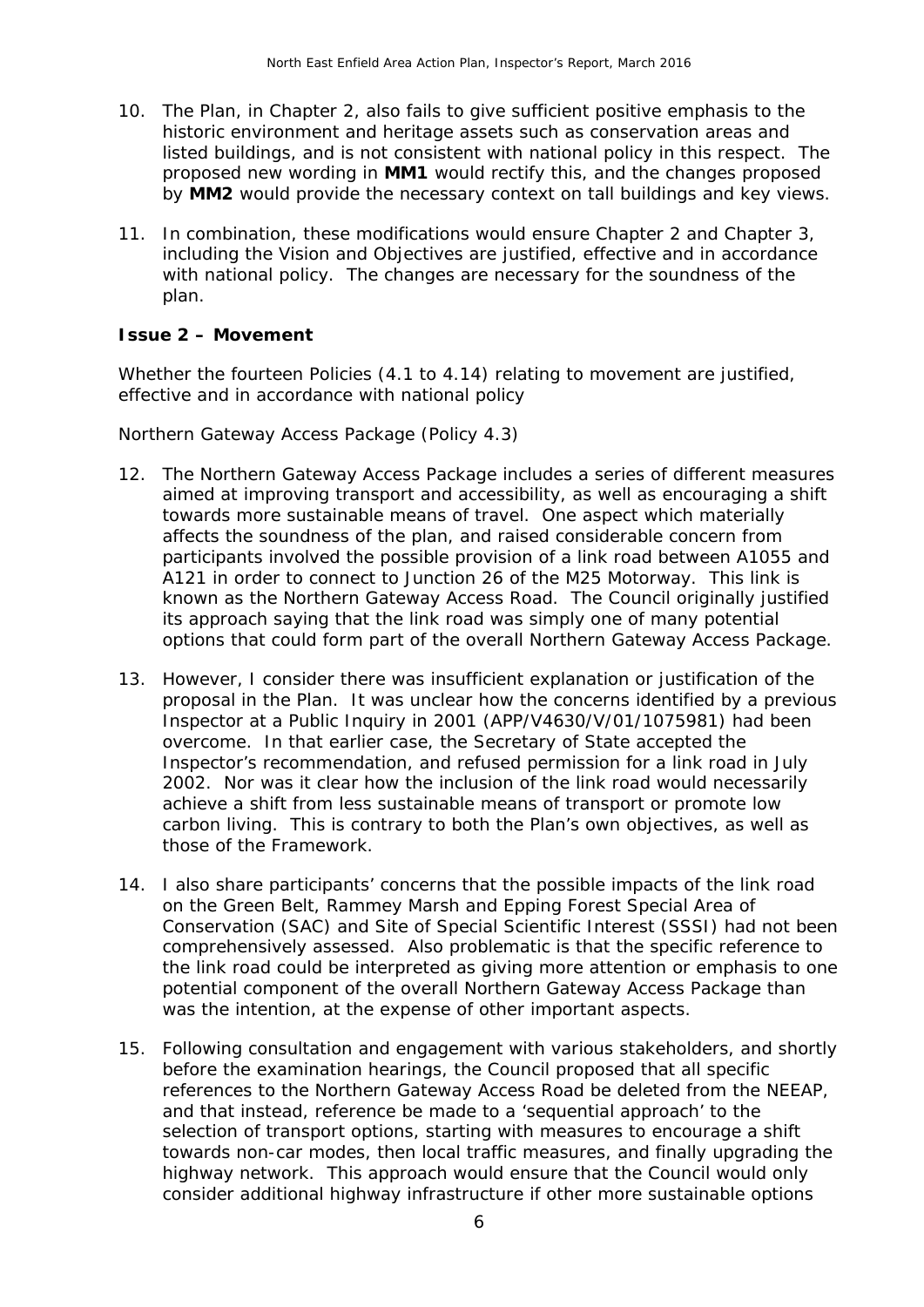- 10. The Plan, in Chapter 2, also fails to give sufficient positive emphasis to the historic environment and heritage assets such as conservation areas and listed buildings, and is not consistent with national policy in this respect. The proposed new wording in **MM1** would rectify this, and the changes proposed by **MM2** would provide the necessary context on tall buildings and key views.
- 11. In combination, these modifications would ensure Chapter 2 and Chapter 3, including the Vision and Objectives are justified, effective and in accordance with national policy. The changes are necessary for the soundness of the plan.

#### **Issue 2 – Movement**

*Whether the fourteen Policies (4.1 to 4.14) relating to movement are justified, effective and in accordance with national policy* 

*Northern Gateway Access Package (Policy 4.3)* 

- 12. The Northern Gateway Access Package includes a series of different measures aimed at improving transport and accessibility, as well as encouraging a shift towards more sustainable means of travel. One aspect which materially affects the soundness of the plan, and raised considerable concern from participants involved the possible provision of a link road between A1055 and A121 in order to connect to Junction 26 of the M25 Motorway. This link is known as the Northern Gateway Access Road. The Council originally justified its approach saying that the link road was simply one of many potential options that could form part of the overall Northern Gateway Access Package.
- 13. However, I consider there was insufficient explanation or justification of the proposal in the Plan. It was unclear how the concerns identified by a previous Inspector at a Public Inquiry in 2001 (APP/V4630/V/01/1075981) had been overcome. In that earlier case, the Secretary of State accepted the Inspector's recommendation, and refused permission for a link road in July 2002. Nor was it clear how the inclusion of the link road would necessarily achieve a shift from less sustainable means of transport or promote low carbon living. This is contrary to both the Plan's own objectives, as well as those of the Framework.
- 14. I also share participants' concerns that the possible impacts of the link road on the Green Belt, Rammey Marsh and Epping Forest Special Area of Conservation (SAC) and Site of Special Scientific Interest (SSSI) had not been comprehensively assessed. Also problematic is that the specific reference to the link road could be interpreted as giving more attention or emphasis to one potential component of the overall Northern Gateway Access Package than was the intention, at the expense of other important aspects.
- 15. Following consultation and engagement with various stakeholders, and shortly before the examination hearings, the Council proposed that all specific references to the Northern Gateway Access Road be deleted from the NEEAP, and that instead, reference be made to a 'sequential approach' to the selection of transport options, starting with measures to encourage a shift towards non-car modes, then local traffic measures, and finally upgrading the highway network. This approach would ensure that the Council would only consider additional highway infrastructure if other more sustainable options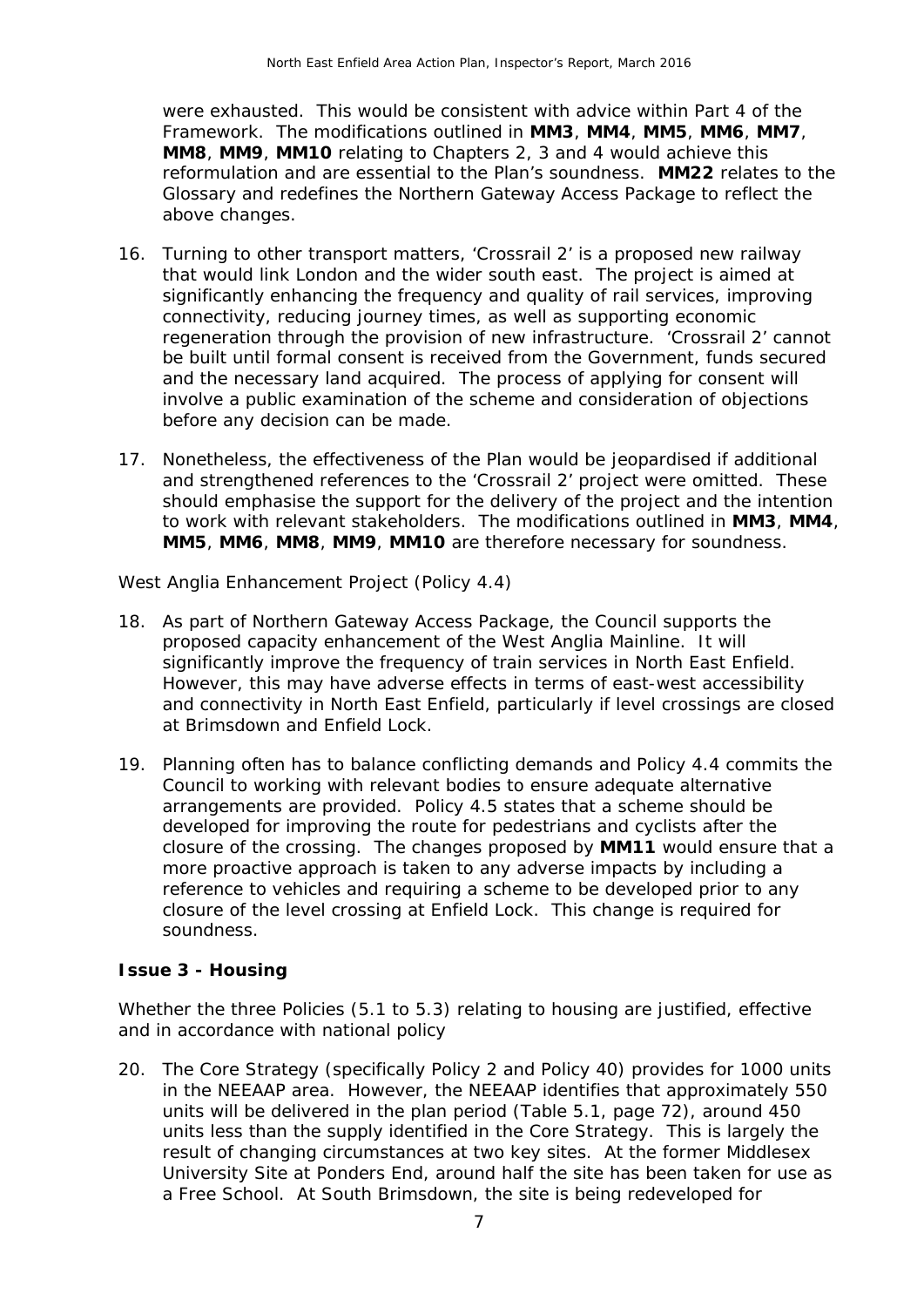were exhausted. This would be consistent with advice within Part 4 of the Framework. The modifications outlined in **MM3**, **MM4**, **MM5**, **MM6**, **MM7**, **MM8**, **MM9**, **MM10** relating to Chapters 2, 3 and 4 would achieve this reformulation and are essential to the Plan's soundness. **MM22** relates to the Glossary and redefines the Northern Gateway Access Package to reflect the above changes.

- 16. Turning to other transport matters, 'Crossrail 2' is a proposed new railway that would link London and the wider south east. The project is aimed at significantly enhancing the frequency and quality of rail services, improving connectivity, reducing journey times, as well as supporting economic regeneration through the provision of new infrastructure. 'Crossrail 2' cannot be built until formal consent is received from the Government, funds secured and the necessary land acquired. The process of applying for consent will involve a public examination of the scheme and consideration of objections before any decision can be made.
- 17. Nonetheless, the effectiveness of the Plan would be jeopardised if additional and strengthened references to the 'Crossrail 2' project were omitted. These should emphasise the support for the delivery of the project and the intention to work with relevant stakeholders. The modifications outlined in **MM3**, **MM4**, **MM5**, **MM6**, **MM8**, **MM9**, **MM10** are therefore necessary for soundness.

*West Anglia Enhancement Project (Policy 4.4)* 

- 18. As part of Northern Gateway Access Package, the Council supports the proposed capacity enhancement of the West Anglia Mainline. It will significantly improve the frequency of train services in North East Enfield. However, this may have adverse effects in terms of east-west accessibility and connectivity in North East Enfield, particularly if level crossings are closed at Brimsdown and Enfield Lock.
- 19. Planning often has to balance conflicting demands and Policy 4.4 commits the Council to working with relevant bodies to ensure adequate alternative arrangements are provided. Policy 4.5 states that a scheme should be developed for improving the route for pedestrians and cyclists after the closure of the crossing. The changes proposed by **MM11** would ensure that a more proactive approach is taken to any adverse impacts by including a reference to vehicles and requiring a scheme to be developed prior to any closure of the level crossing at Enfield Lock. This change is required for soundness.

#### **Issue 3 - Housing**

*Whether the three Policies (5.1 to 5.3) relating to housing are justified, effective and in accordance with national policy* 

20. The Core Strategy (specifically Policy 2 and Policy 40) provides for 1000 units in the NEEAAP area. However, the NEEAAP identifies that approximately 550 units will be delivered in the plan period (Table 5.1, page 72), around 450 units less than the supply identified in the Core Strategy. This is largely the result of changing circumstances at two key sites. At the former Middlesex University Site at Ponders End, around half the site has been taken for use as a Free School. At South Brimsdown, the site is being redeveloped for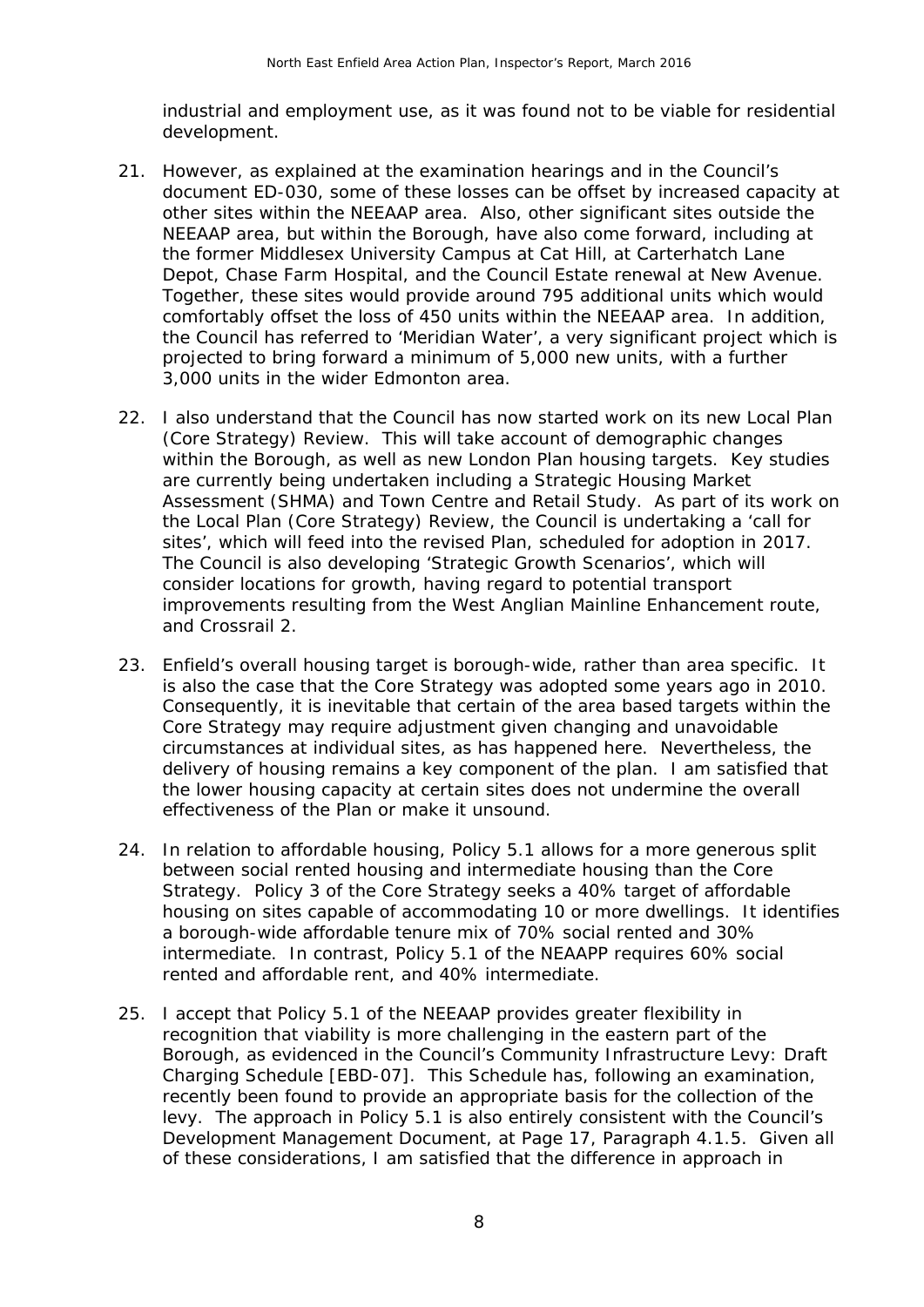industrial and employment use, as it was found not to be viable for residential development.

- 21. However, as explained at the examination hearings and in the Council's document ED-030, some of these losses can be offset by increased capacity at other sites within the NEEAAP area. Also, other significant sites outside the NEEAAP area, but within the Borough, have also come forward, including at the former Middlesex University Campus at Cat Hill, at Carterhatch Lane Depot, Chase Farm Hospital, and the Council Estate renewal at New Avenue. Together, these sites would provide around 795 additional units which would comfortably offset the loss of 450 units within the NEEAAP area. In addition, the Council has referred to 'Meridian Water', a very significant project which is projected to bring forward a minimum of 5,000 new units, with a further 3,000 units in the wider Edmonton area.
- 22. I also understand that the Council has now started work on its new Local Plan (Core Strategy) Review. This will take account of demographic changes within the Borough, as well as new London Plan housing targets. Key studies are currently being undertaken including a Strategic Housing Market Assessment (SHMA) and Town Centre and Retail Study. As part of its work on the Local Plan (Core Strategy) Review, the Council is undertaking a 'call for sites', which will feed into the revised Plan, scheduled for adoption in 2017. The Council is also developing 'Strategic Growth Scenarios', which will consider locations for growth, having regard to potential transport improvements resulting from the West Anglian Mainline Enhancement route, and Crossrail 2.
- 23. Enfield's overall housing target is borough-wide, rather than area specific. It is also the case that the Core Strategy was adopted some years ago in 2010. Consequently, it is inevitable that certain of the area based targets within the Core Strategy may require adjustment given changing and unavoidable circumstances at individual sites, as has happened here. Nevertheless, the delivery of housing remains a key component of the plan. I am satisfied that the lower housing capacity at certain sites does not undermine the overall effectiveness of the Plan or make it unsound.
- 24. In relation to affordable housing, Policy 5.1 allows for a more generous split between social rented housing and intermediate housing than the Core Strategy. Policy 3 of the Core Strategy seeks a 40% target of affordable housing on sites capable of accommodating 10 or more dwellings. It identifies a borough-wide affordable tenure mix of 70% social rented and 30% intermediate. In contrast, Policy 5.1 of the NEAAPP requires 60% social rented and affordable rent, and 40% intermediate.
- 25. I accept that Policy 5.1 of the NEEAAP provides greater flexibility in recognition that viability is more challenging in the eastern part of the Borough, as evidenced in the Council's Community Infrastructure Levy: Draft Charging Schedule [EBD-07]. This Schedule has, following an examination, recently been found to provide an appropriate basis for the collection of the levy. The approach in Policy 5.1 is also entirely consistent with the Council's Development Management Document, at Page 17, Paragraph 4.1.5. Given all of these considerations, I am satisfied that the difference in approach in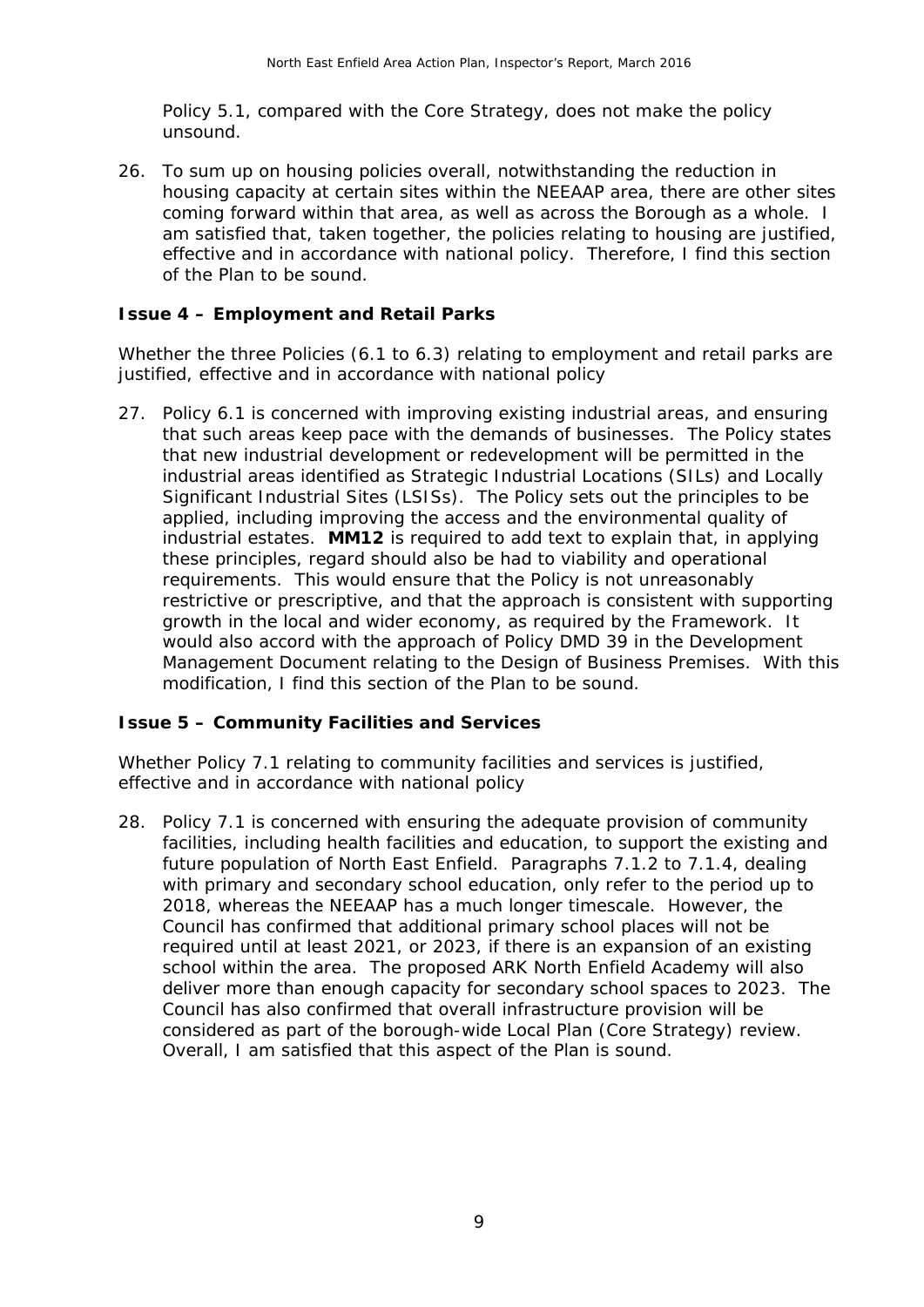Policy 5.1, compared with the Core Strategy, does not make the policy unsound.

26. To sum up on housing policies overall, notwithstanding the reduction in housing capacity at certain sites within the NEEAAP area, there are other sites coming forward within that area, as well as across the Borough as a whole. I am satisfied that, taken together, the policies relating to housing are justified, effective and in accordance with national policy. Therefore, I find this section of the Plan to be sound.

### **Issue 4 – Employment and Retail Parks**

*Whether the three Policies (6.1 to 6.3) relating to employment and retail parks are justified, effective and in accordance with national policy* 

27. Policy 6.1 is concerned with improving existing industrial areas, and ensuring that such areas keep pace with the demands of businesses. The Policy states that new industrial development or redevelopment will be permitted in the industrial areas identified as Strategic Industrial Locations (SILs) and Locally Significant Industrial Sites (LSISs). The Policy sets out the principles to be applied, including improving the access and the environmental quality of industrial estates. **MM12** is required to add text to explain that, in applying these principles, regard should also be had to viability and operational requirements. This would ensure that the Policy is not unreasonably restrictive or prescriptive, and that the approach is consistent with supporting growth in the local and wider economy, as required by the Framework. It would also accord with the approach of Policy DMD 39 in the Development Management Document relating to the Design of Business Premises. With this modification, I find this section of the Plan to be sound.

#### **Issue 5 – Community Facilities and Services**

*Whether Policy 7.1 relating to community facilities and services is justified, effective and in accordance with national policy* 

28. Policy 7.1 is concerned with ensuring the adequate provision of community facilities, including health facilities and education, to support the existing and future population of North East Enfield. Paragraphs 7.1.2 to 7.1.4, dealing with primary and secondary school education, only refer to the period up to 2018, whereas the NEEAAP has a much longer timescale. However, the Council has confirmed that additional primary school places will not be required until at least 2021, or 2023, if there is an expansion of an existing school within the area. The proposed ARK North Enfield Academy will also deliver more than enough capacity for secondary school spaces to 2023. The Council has also confirmed that overall infrastructure provision will be considered as part of the borough-wide Local Plan (Core Strategy) review. Overall, I am satisfied that this aspect of the Plan is sound.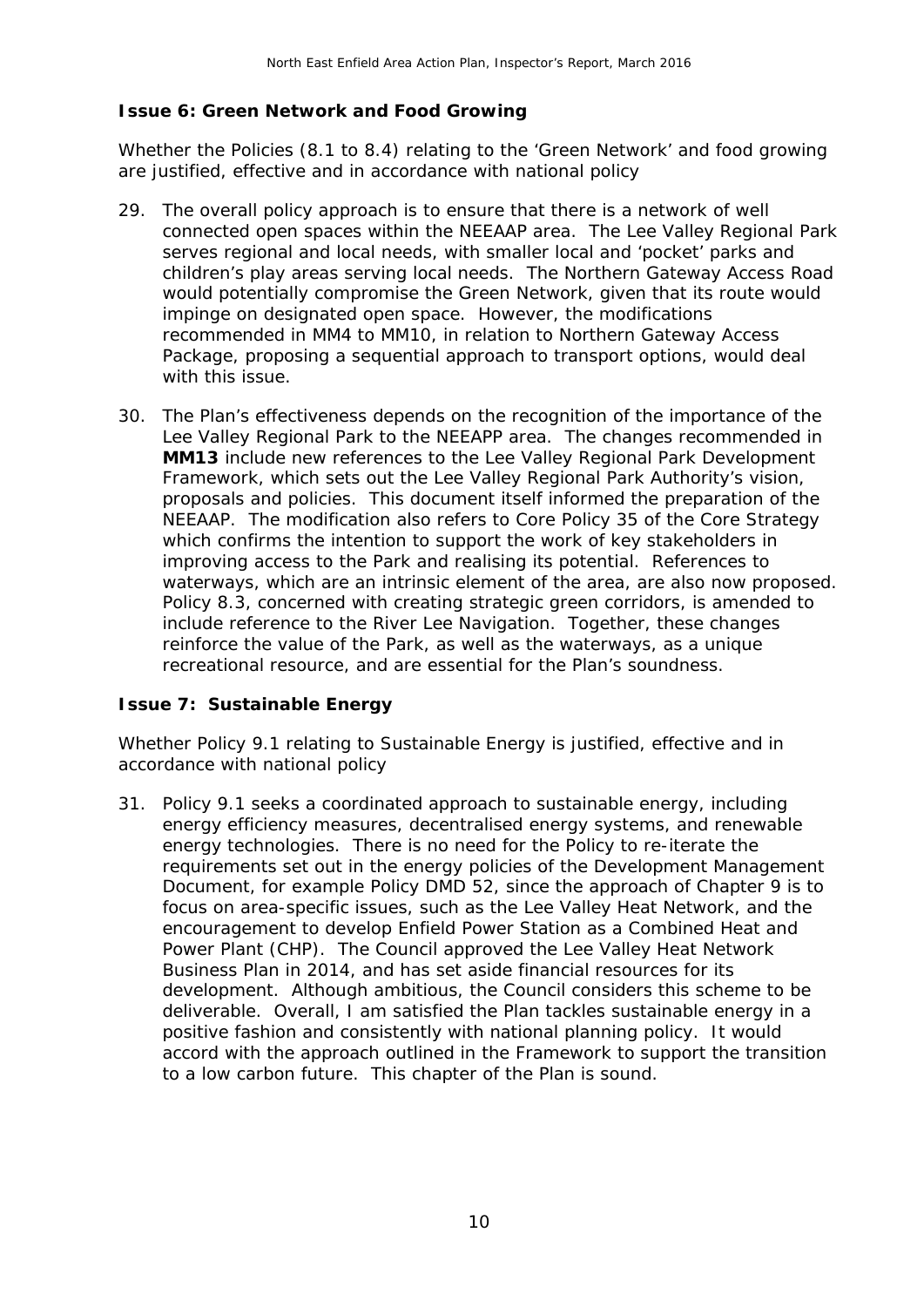#### **Issue 6: Green Network and Food Growing**

*Whether the Policies (8.1 to 8.4) relating to the 'Green Network' and food growing are justified, effective and in accordance with national policy* 

- 29. The overall policy approach is to ensure that there is a network of well connected open spaces within the NEEAAP area. The Lee Valley Regional Park serves regional and local needs, with smaller local and 'pocket' parks and children's play areas serving local needs. The Northern Gateway Access Road would potentially compromise the Green Network, given that its route would impinge on designated open space. However, the modifications recommended in MM4 to MM10, in relation to Northern Gateway Access Package, proposing a sequential approach to transport options, would deal with this issue.
- 30. The Plan's effectiveness depends on the recognition of the importance of the Lee Valley Regional Park to the NEEAPP area. The changes recommended in **MM13** include new references to the Lee Valley Regional Park Development Framework, which sets out the Lee Valley Regional Park Authority's vision, proposals and policies. This document itself informed the preparation of the NEEAAP. The modification also refers to Core Policy 35 of the Core Strategy which confirms the intention to support the work of key stakeholders in improving access to the Park and realising its potential. References to waterways, which are an intrinsic element of the area, are also now proposed. Policy 8.3, concerned with creating strategic green corridors, is amended to include reference to the River Lee Navigation. Together, these changes reinforce the value of the Park, as well as the waterways, as a unique recreational resource, and are essential for the Plan's soundness.

#### **Issue 7: Sustainable Energy**

*Whether Policy 9.1 relating to Sustainable Energy is justified, effective and in accordance with national policy* 

31. Policy 9.1 seeks a coordinated approach to sustainable energy, including energy efficiency measures, decentralised energy systems, and renewable energy technologies. There is no need for the Policy to re-iterate the requirements set out in the energy policies of the Development Management Document, for example Policy DMD 52, since the approach of Chapter 9 is to focus on area-specific issues, such as the Lee Valley Heat Network, and the encouragement to develop Enfield Power Station as a Combined Heat and Power Plant (CHP). The Council approved the Lee Valley Heat Network Business Plan in 2014, and has set aside financial resources for its development. Although ambitious, the Council considers this scheme to be deliverable. Overall, I am satisfied the Plan tackles sustainable energy in a positive fashion and consistently with national planning policy. It would accord with the approach outlined in the Framework to support the transition to a low carbon future. This chapter of the Plan is sound.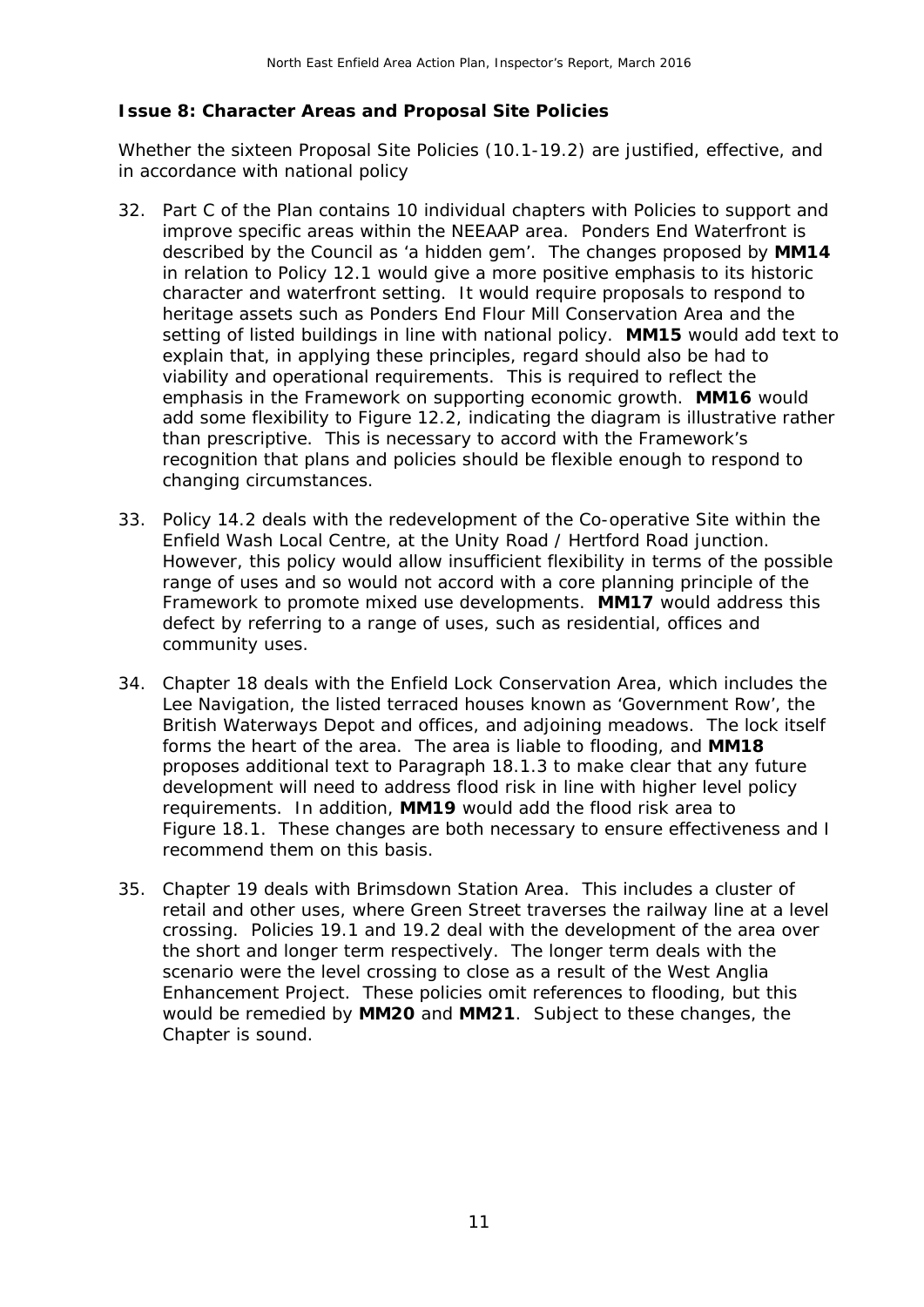#### **Issue 8: Character Areas and Proposal Site Policies**

*Whether the sixteen Proposal Site Policies (10.1-19.2) are justified, effective, and in accordance with national policy* 

- 32. Part C of the Plan contains 10 individual chapters with Policies to support and improve specific areas within the NEEAAP area. Ponders End Waterfront is described by the Council as 'a hidden gem'. The changes proposed by **MM14** in relation to Policy 12.1 would give a more positive emphasis to its historic character and waterfront setting. It would require proposals to respond to heritage assets such as Ponders End Flour Mill Conservation Area and the setting of listed buildings in line with national policy. **MM15** would add text to explain that, in applying these principles, regard should also be had to viability and operational requirements. This is required to reflect the emphasis in the Framework on supporting economic growth. **MM16** would add some flexibility to Figure 12.2, indicating the diagram is illustrative rather than prescriptive. This is necessary to accord with the Framework's recognition that plans and policies should be flexible enough to respond to changing circumstances.
- 33. Policy 14.2 deals with the redevelopment of the Co-operative Site within the Enfield Wash Local Centre, at the Unity Road / Hertford Road junction. However, this policy would allow insufficient flexibility in terms of the possible range of uses and so would not accord with a core planning principle of the Framework to promote mixed use developments. **MM17** would address this defect by referring to a range of uses, such as residential, offices and community uses.
- 34. Chapter 18 deals with the Enfield Lock Conservation Area, which includes the Lee Navigation, the listed terraced houses known as 'Government Row', the British Waterways Depot and offices, and adjoining meadows. The lock itself forms the heart of the area. The area is liable to flooding, and **MM18** proposes additional text to Paragraph 18.1.3 to make clear that any future development will need to address flood risk in line with higher level policy requirements. In addition, **MM19** would add the flood risk area to Figure 18.1. These changes are both necessary to ensure effectiveness and I recommend them on this basis.
- 35. Chapter 19 deals with Brimsdown Station Area. This includes a cluster of retail and other uses, where Green Street traverses the railway line at a level crossing. Policies 19.1 and 19.2 deal with the development of the area over the short and longer term respectively. The longer term deals with the scenario were the level crossing to close as a result of the West Anglia Enhancement Project. These policies omit references to flooding, but this would be remedied by **MM20** and **MM21**. Subject to these changes, the Chapter is sound.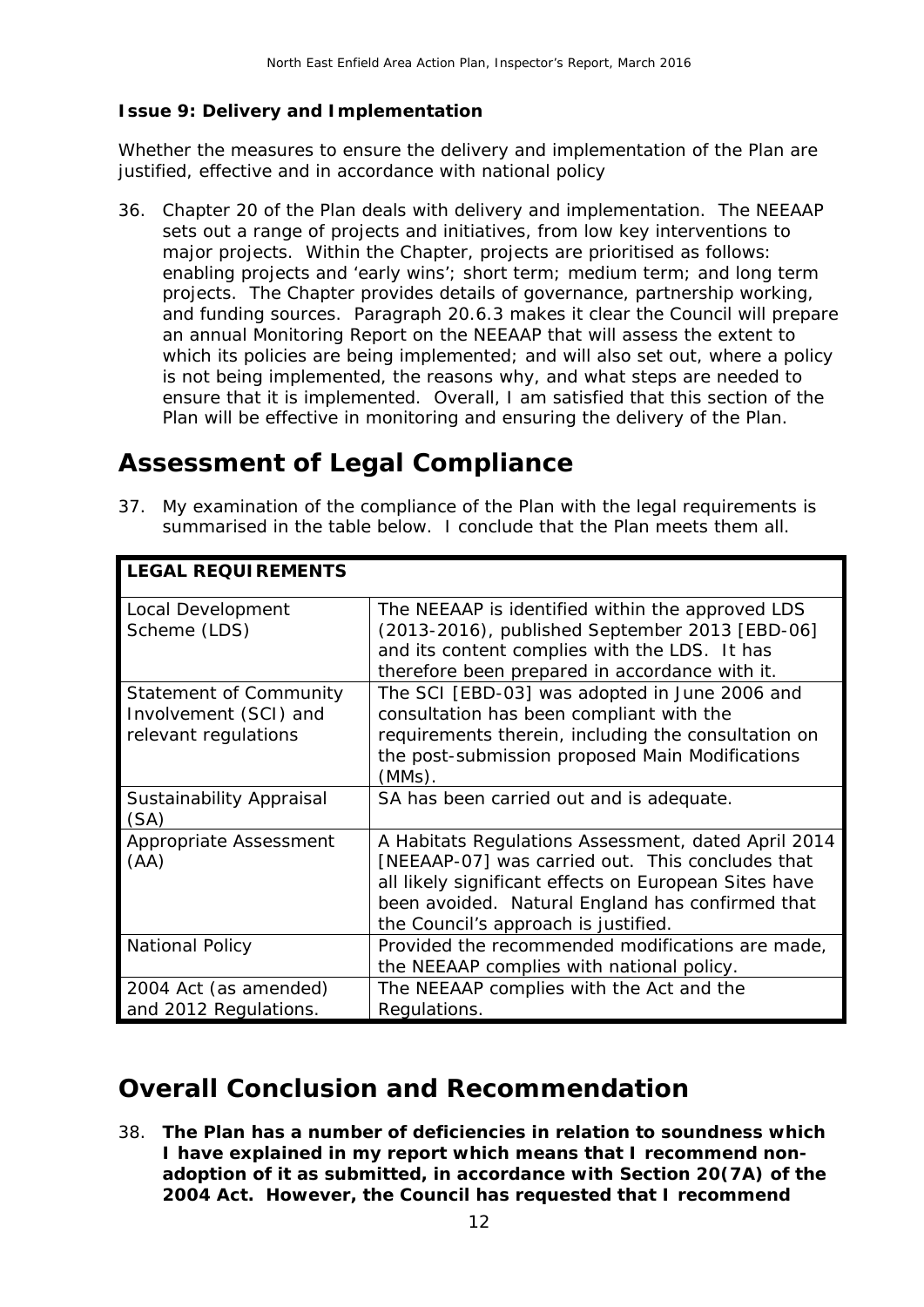#### **Issue 9: Delivery and Implementation**

*Whether the measures to ensure the delivery and implementation of the Plan are justified, effective and in accordance with national policy* 

36. Chapter 20 of the Plan deals with delivery and implementation. The NEEAAP sets out a range of projects and initiatives, from low key interventions to major projects. Within the Chapter, projects are prioritised as follows: enabling projects and 'early wins'; short term; medium term; and long term projects. The Chapter provides details of governance, partnership working, and funding sources. Paragraph 20.6.3 makes it clear the Council will prepare an annual Monitoring Report on the NEEAAP that will assess the extent to which its policies are being implemented; and will also set out, where a policy is not being implemented, the reasons why, and what steps are needed to ensure that it is implemented. Overall, I am satisfied that this section of the Plan will be effective in monitoring and ensuring the delivery of the Plan.

### **Assessment of Legal Compliance**

37. My examination of the compliance of the Plan with the legal requirements is summarised in the table below. I conclude that the Plan meets them all.

| <b>LEGAL REQUIREMENTS</b>                                                      |                                                                                                                                                                                                                                                              |
|--------------------------------------------------------------------------------|--------------------------------------------------------------------------------------------------------------------------------------------------------------------------------------------------------------------------------------------------------------|
| Local Development<br>Scheme (LDS)                                              | The NEEAAP is identified within the approved LDS<br>(2013-2016), published September 2013 [EBD-06]<br>and its content complies with the LDS. It has<br>therefore been prepared in accordance with it.                                                        |
| <b>Statement of Community</b><br>Involvement (SCI) and<br>relevant regulations | The SCI [EBD-03] was adopted in June 2006 and<br>consultation has been compliant with the<br>requirements therein, including the consultation on<br>the post-submission proposed Main Modifications<br>$(MMs)$ .                                             |
| Sustainability Appraisal<br>(SA)                                               | SA has been carried out and is adequate.                                                                                                                                                                                                                     |
| Appropriate Assessment<br>(AA)                                                 | A Habitats Regulations Assessment, dated April 2014<br>[NEEAAP-07] was carried out. This concludes that<br>all likely significant effects on European Sites have<br>been avoided. Natural England has confirmed that<br>the Council's approach is justified. |
| <b>National Policy</b>                                                         | Provided the recommended modifications are made,<br>the NEEAAP complies with national policy.                                                                                                                                                                |
| 2004 Act (as amended)<br>and 2012 Regulations.                                 | The NEEAAP complies with the Act and the<br>Regulations.                                                                                                                                                                                                     |

## **Overall Conclusion and Recommendation**

38. **The Plan has a number of deficiencies in relation to soundness which I have explained in my report which means that I recommend nonadoption of it as submitted, in accordance with Section 20(7A) of the 2004 Act. However, the Council has requested that I recommend**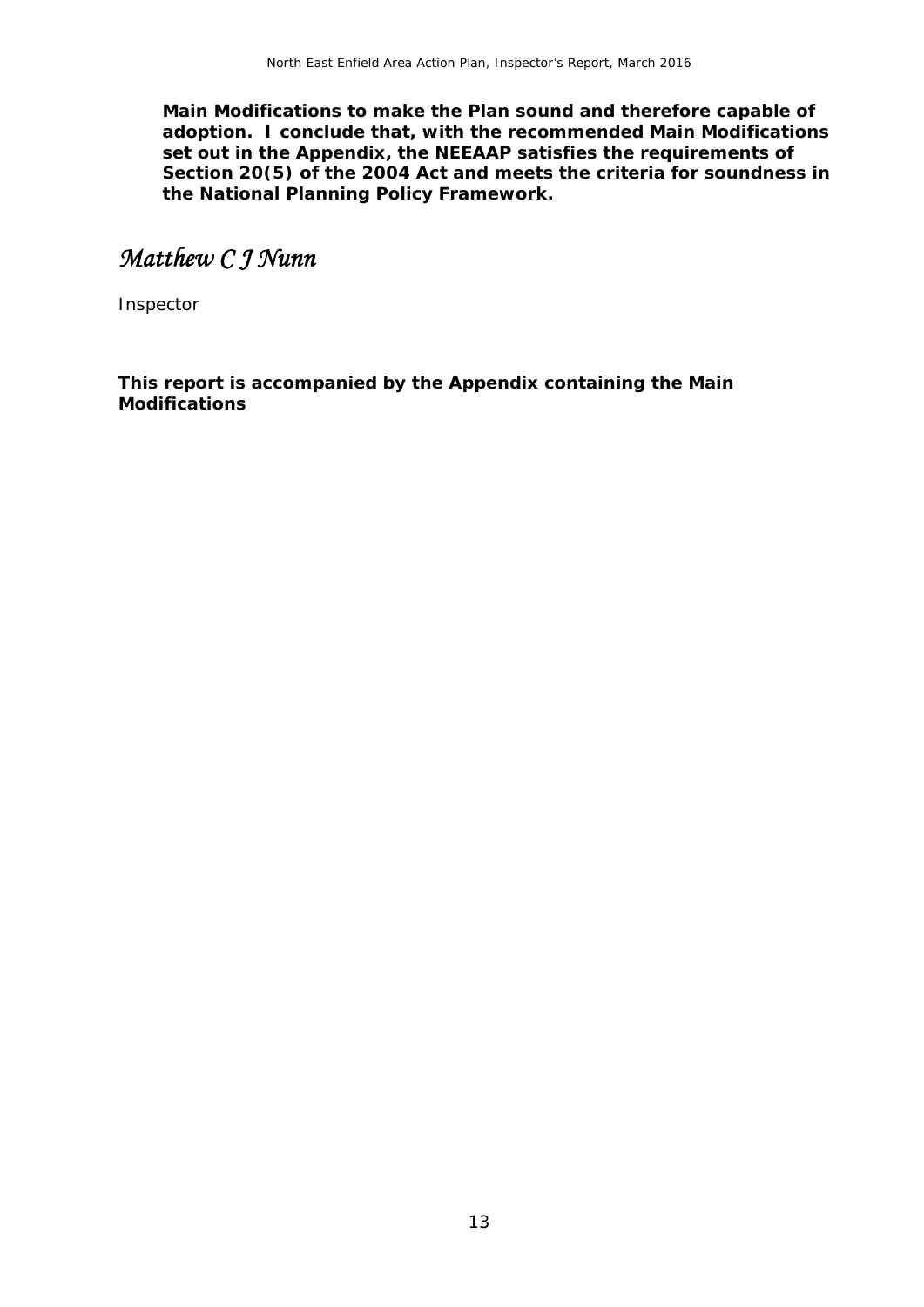**Main Modifications to make the Plan sound and therefore capable of adoption. I conclude that, with the recommended Main Modifications set out in the Appendix, the NEEAAP satisfies the requirements of Section 20(5) of the 2004 Act and meets the criteria for soundness in the National Planning Policy Framework.** 

## *Matthew C J Nunn*

Inspector

**This report is accompanied by the Appendix containing the Main Modifications**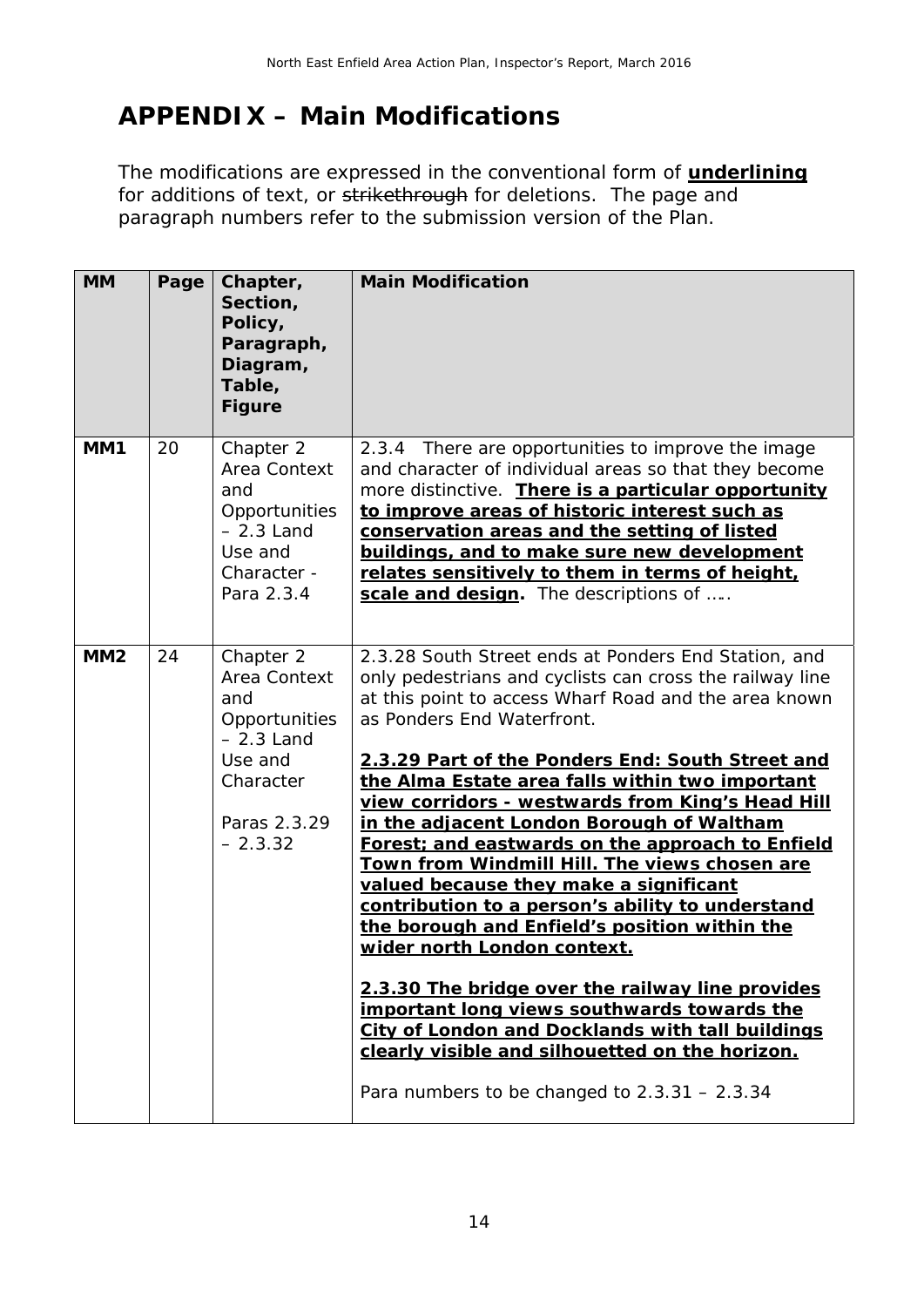# **APPENDIX – Main Modifications**

The modifications are expressed in the conventional form of **underlining** for additions of text, or strikethrough for deletions. The page and paragraph numbers refer to the submission version of the Plan.

| <b>MM</b> | Page | Chapter,<br>Section,<br>Policy,<br>Paragraph,<br>Diagram,<br>Table,<br><b>Figure</b>                                  | <b>Main Modification</b>                                                                                                                                                                                                                                                                                                                                                                                                                                                                                                                                                                                                                                                                                                                                                                                                                                                                                                                                        |
|-----------|------|-----------------------------------------------------------------------------------------------------------------------|-----------------------------------------------------------------------------------------------------------------------------------------------------------------------------------------------------------------------------------------------------------------------------------------------------------------------------------------------------------------------------------------------------------------------------------------------------------------------------------------------------------------------------------------------------------------------------------------------------------------------------------------------------------------------------------------------------------------------------------------------------------------------------------------------------------------------------------------------------------------------------------------------------------------------------------------------------------------|
| MM1       | 20   | Chapter 2<br>Area Context<br>and<br>Opportunities<br>$-2.3$ Land<br>Use and<br>Character -<br>Para 2.3.4              | There are opportunities to improve the image<br>2.3.4<br>and character of individual areas so that they become<br>more distinctive. There is a particular opportunity<br>to improve areas of historic interest such as<br>conservation areas and the setting of listed<br>buildings, and to make sure new development<br>relates sensitively to them in terms of height,<br>scale and design. The descriptions of                                                                                                                                                                                                                                                                                                                                                                                                                                                                                                                                               |
| MM2       | 24   | Chapter 2<br>Area Context<br>and<br>Opportunities<br>$-2.3$ Land<br>Use and<br>Character<br>Paras 2.3.29<br>$-2.3.32$ | 2.3.28 South Street ends at Ponders End Station, and<br>only pedestrians and cyclists can cross the railway line<br>at this point to access Wharf Road and the area known<br>as Ponders End Waterfront.<br>2.3.29 Part of the Ponders End: South Street and<br>the Alma Estate area falls within two important<br>view corridors - westwards from King's Head Hill<br>in the adjacent London Borough of Waltham<br>Forest; and eastwards on the approach to Enfield<br>Town from Windmill Hill. The views chosen are<br>valued because they make a significant<br>contribution to a person's ability to understand<br>the borough and Enfield's position within the<br>wider north London context.<br>2.3.30 The bridge over the railway line provides<br>important long views southwards towards the<br>City of London and Docklands with tall buildings<br>clearly visible and silhouetted on the horizon.<br>Para numbers to be changed to $2.3.31 - 2.3.34$ |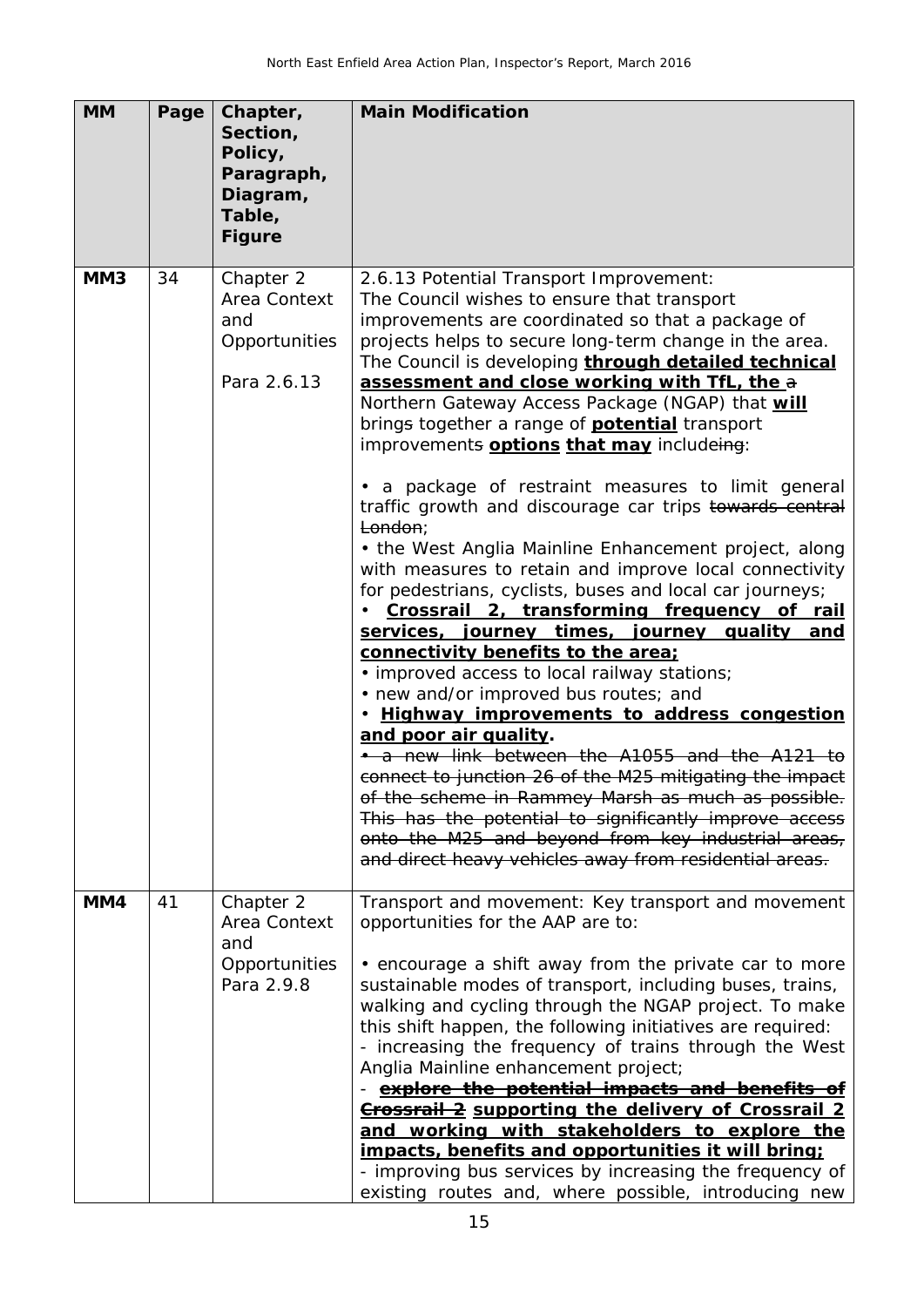| <b>MM</b>       | Page | Chapter,<br>Section,<br>Policy,<br>Paragraph,<br>Diagram,<br>Table, | <b>Main Modification</b>                                                                                                                                                                                                                                                                                                                                                                                                                                                                                                                                                                                                                                                                                                                                                                                                                                                                                                                                              |
|-----------------|------|---------------------------------------------------------------------|-----------------------------------------------------------------------------------------------------------------------------------------------------------------------------------------------------------------------------------------------------------------------------------------------------------------------------------------------------------------------------------------------------------------------------------------------------------------------------------------------------------------------------------------------------------------------------------------------------------------------------------------------------------------------------------------------------------------------------------------------------------------------------------------------------------------------------------------------------------------------------------------------------------------------------------------------------------------------|
|                 |      | <b>Figure</b>                                                       |                                                                                                                                                                                                                                                                                                                                                                                                                                                                                                                                                                                                                                                                                                                                                                                                                                                                                                                                                                       |
| MM <sub>3</sub> | 34   | Chapter 2<br>Area Context<br>and<br>Opportunities<br>Para 2.6.13    | 2.6.13 Potential Transport Improvement:<br>The Council wishes to ensure that transport<br>improvements are coordinated so that a package of<br>projects helps to secure long-term change in the area.<br>The Council is developing through detailed technical<br>assessment and close working with TfL, the a<br>Northern Gateway Access Package (NGAP) that will<br>brings together a range of <b>potential</b> transport<br>improvements <b>options that may</b> includeing:                                                                                                                                                                                                                                                                                                                                                                                                                                                                                        |
|                 |      |                                                                     | • a package of restraint measures to limit general<br>traffic growth and discourage car trips towards central<br>London;<br>• the West Anglia Mainline Enhancement project, along<br>with measures to retain and improve local connectivity<br>for pedestrians, cyclists, buses and local car journeys;<br>Crossrail 2, transforming frequency of rail<br>services, journey times, journey quality<br><u>and</u><br>connectivity benefits to the area;<br>• improved access to local railway stations;<br>• new and/or improved bus routes; and<br>. Highway improvements to address congestion<br>and poor air quality.<br>• a new link between the A1055 and the A121 to<br>connect to junction 26 of the M25 mitigating the impact<br>of the scheme in Rammey Marsh as much as possible.<br>This has the potential to significantly improve access<br>onto the M25 and beyond from key industrial areas,<br>and direct heavy vehicles away from residential areas. |
| MM4             | 41   | Chapter 2<br>Area Context<br>and<br>Opportunities<br>Para 2.9.8     | Transport and movement: Key transport and movement<br>opportunities for the AAP are to:<br>• encourage a shift away from the private car to more<br>sustainable modes of transport, including buses, trains,<br>walking and cycling through the NGAP project. To make<br>this shift happen, the following initiatives are required:<br>- increasing the frequency of trains through the West<br>Anglia Mainline enhancement project;<br>explore the potential impacts and benefits of<br><b>Crossrail 2</b> supporting the delivery of Crossrail 2<br>and working with stakeholders to explore the<br>impacts, benefits and opportunities it will bring;<br>- improving bus services by increasing the frequency of<br>existing routes and, where possible, introducing new                                                                                                                                                                                           |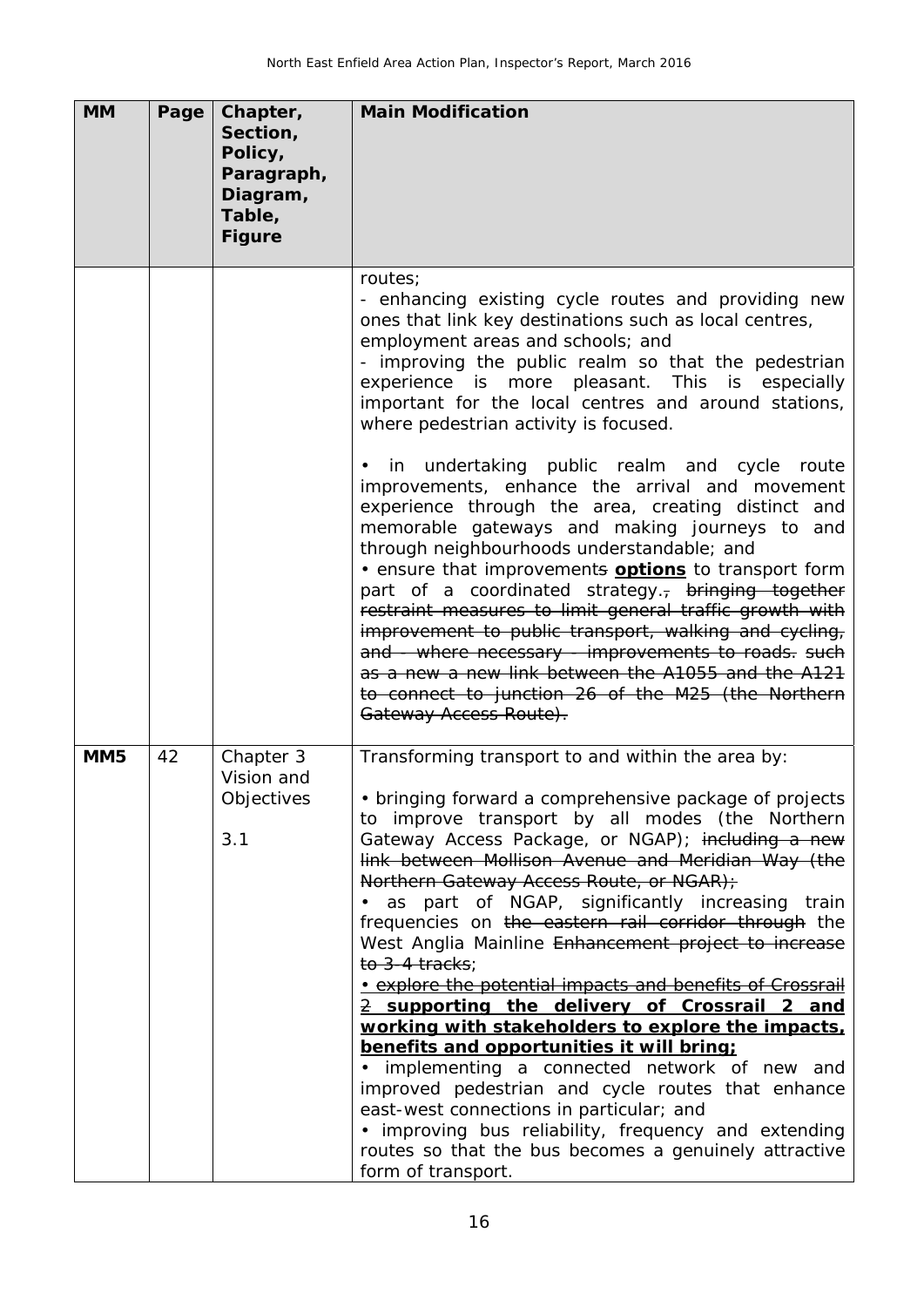| <b>MM</b>       | Page | Chapter,<br>Section,<br>Policy,<br>Paragraph,<br>Diagram,<br>Table,<br><b>Figure</b> | <b>Main Modification</b>                                                                                                                                                                                                                                                                                                                                                                                                                                                                                                                                                                                                                                                                                                                                                                                                                                                                                                                                                                                                                                                           |
|-----------------|------|--------------------------------------------------------------------------------------|------------------------------------------------------------------------------------------------------------------------------------------------------------------------------------------------------------------------------------------------------------------------------------------------------------------------------------------------------------------------------------------------------------------------------------------------------------------------------------------------------------------------------------------------------------------------------------------------------------------------------------------------------------------------------------------------------------------------------------------------------------------------------------------------------------------------------------------------------------------------------------------------------------------------------------------------------------------------------------------------------------------------------------------------------------------------------------|
|                 |      |                                                                                      | routes;<br>- enhancing existing cycle routes and providing new<br>ones that link key destinations such as local centres,<br>employment areas and schools; and<br>- improving the public realm so that the pedestrian<br>experience is more pleasant. This is especially<br>important for the local centres and around stations,<br>where pedestrian activity is focused.<br>• in undertaking public realm and cycle route<br>improvements, enhance the arrival and movement<br>experience through the area, creating distinct and<br>memorable gateways and making journeys to and<br>through neighbourhoods understandable; and<br>. ensure that improvements <b>options</b> to transport form<br>part of a coordinated strategy. <sub>7</sub> bringing together<br>restraint measures to limit general traffic growth with<br>improvement to public transport, walking and cycling,<br>and - where necessary - improvements to roads. such<br>as a new a new link between the A1055 and the A121<br>to connect to junction 26 of the M25 (the Northern<br>Gateway Access Route). |
| MM <sub>5</sub> | 42   | Chapter 3<br>Vision and<br>Objectives<br>3.1                                         | Transforming transport to and within the area by:<br>• bringing forward a comprehensive package of projects<br>to improve transport by all modes (the Northern<br>Gateway Access Package, or NGAP); including a new<br>link between Mollison Avenue and Meridian Way (the<br>Northern Gateway Access Route, or NGAR);<br>· as part of NGAP, significantly increasing train<br>frequencies on the eastern rail corridor through the<br>West Anglia Mainline Enhancement project to increase<br>to 3-4 tracks:<br>• explore the potential impacts and benefits of Crossrail<br>2 supporting the delivery of Crossrail 2 and<br>working with stakeholders to explore the impacts,<br>benefits and opportunities it will bring;<br>· implementing a connected network of new and<br>improved pedestrian and cycle routes that enhance<br>east-west connections in particular; and<br>• improving bus reliability, frequency and extending<br>routes so that the bus becomes a genuinely attractive<br>form of transport.                                                               |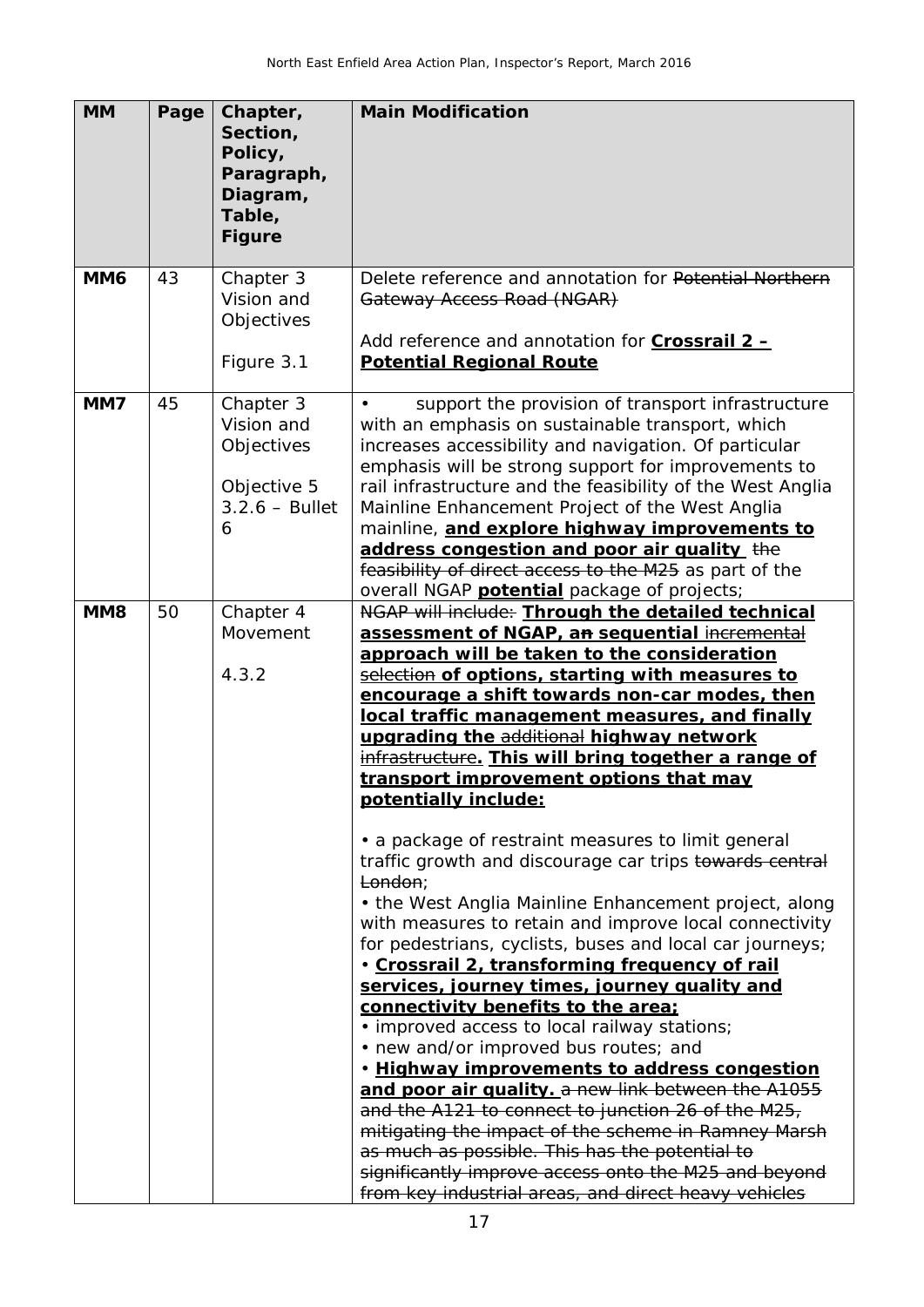| <b>MM</b>       | Page | Chapter,<br>Section,<br>Policy,<br>Paragraph,<br>Diagram,<br>Table,<br><b>Figure</b> | <b>Main Modification</b>                                                                                                                                                                                                                                                                                                                                                                                                                                                                                                                                                                                                                                                                                                                                                                                                                                                                                                                                                                                                                                                                                                                                                                                                                                                                                                                                                                                     |
|-----------------|------|--------------------------------------------------------------------------------------|--------------------------------------------------------------------------------------------------------------------------------------------------------------------------------------------------------------------------------------------------------------------------------------------------------------------------------------------------------------------------------------------------------------------------------------------------------------------------------------------------------------------------------------------------------------------------------------------------------------------------------------------------------------------------------------------------------------------------------------------------------------------------------------------------------------------------------------------------------------------------------------------------------------------------------------------------------------------------------------------------------------------------------------------------------------------------------------------------------------------------------------------------------------------------------------------------------------------------------------------------------------------------------------------------------------------------------------------------------------------------------------------------------------|
| MM <sub>6</sub> | 43   | Chapter 3<br>Vision and<br>Objectives<br>Figure 3.1                                  | Delete reference and annotation for Potential Northern<br>Gateway Access Road (NGAR)<br>Add reference and annotation for <b>Crossrail 2-</b><br><b>Potential Regional Route</b>                                                                                                                                                                                                                                                                                                                                                                                                                                                                                                                                                                                                                                                                                                                                                                                                                                                                                                                                                                                                                                                                                                                                                                                                                              |
| MM7             | 45   | Chapter 3<br>Vision and<br>Objectives<br>Objective 5<br>$3.2.6 - Bullet$<br>6        | support the provision of transport infrastructure<br>with an emphasis on sustainable transport, which<br>increases accessibility and navigation. Of particular<br>emphasis will be strong support for improvements to<br>rail infrastructure and the feasibility of the West Anglia<br>Mainline Enhancement Project of the West Anglia<br>mainline, and explore highway improvements to<br>address congestion and poor air quality the<br>feasibility of direct access to the M25 as part of the<br>overall NGAP <b>potential</b> package of projects;                                                                                                                                                                                                                                                                                                                                                                                                                                                                                                                                                                                                                                                                                                                                                                                                                                                       |
| MM <sub>8</sub> | 50   | Chapter 4<br>Movement<br>4.3.2                                                       | NGAP will include: Through the detailed technical<br>assessment of NGAP, an sequential incremental<br>approach will be taken to the consideration<br>selection of options, starting with measures to<br>encourage a shift towards non-car modes, then<br>local traffic management measures, and finally<br>upgrading the additional highway network<br>infrastructure. This will bring together a range of<br>transport improvement options that may<br>potentially include:<br>• a package of restraint measures to limit general<br>traffic growth and discourage car trips towards central<br>London;<br>• the West Anglia Mainline Enhancement project, along<br>with measures to retain and improve local connectivity<br>for pedestrians, cyclists, buses and local car journeys;<br>· Crossrail 2, transforming frequency of rail<br>services, journey times, journey quality and<br>connectivity benefits to the area;<br>• improved access to local railway stations;<br>• new and/or improved bus routes; and<br>. Highway improvements to address congestion<br>and poor air quality. a new link between the A1055<br>and the A121 to connect to junction 26 of the M25,<br>mitigating the impact of the scheme in Ramney Marsh<br>as much as possible. This has the potential to<br>significantly improve access onto the M25 and beyond<br>from key industrial areas, and direct heavy vehicles |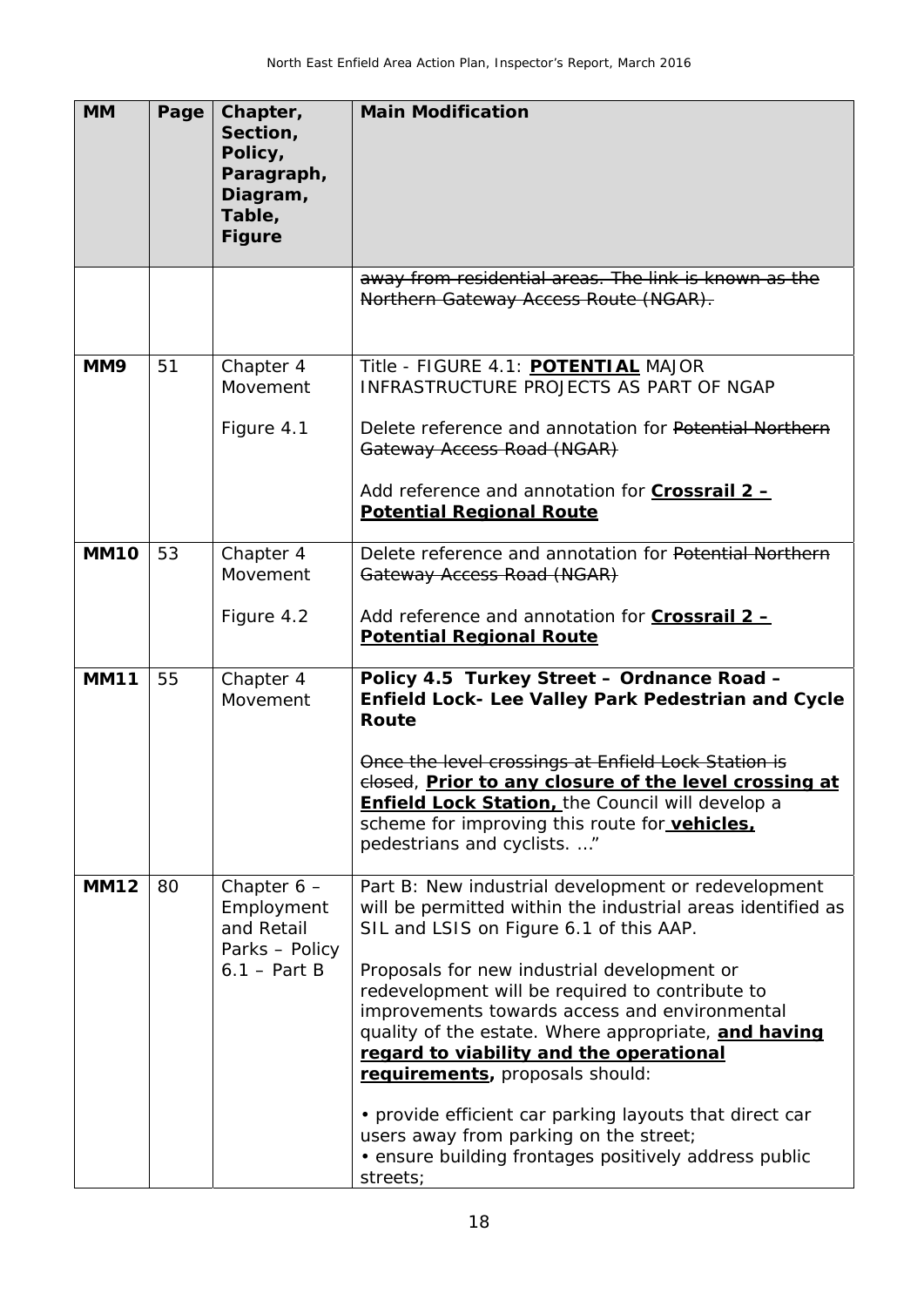| <b>MM</b>   | Page | Chapter,<br>Section,<br>Policy,<br>Paragraph,<br>Diagram,<br>Table,<br><b>Figure</b> | <b>Main Modification</b>                                                                                                                                                                                                                                                                                                                                                                                                                                                                                                                                                                                                         |
|-------------|------|--------------------------------------------------------------------------------------|----------------------------------------------------------------------------------------------------------------------------------------------------------------------------------------------------------------------------------------------------------------------------------------------------------------------------------------------------------------------------------------------------------------------------------------------------------------------------------------------------------------------------------------------------------------------------------------------------------------------------------|
|             |      |                                                                                      | away from residential areas. The link is known as the<br>Northern Gateway Access Route (NGAR).                                                                                                                                                                                                                                                                                                                                                                                                                                                                                                                                   |
| MM9         | 51   | Chapter 4<br>Movement<br>Figure 4.1                                                  | Title - FIGURE 4.1: POTENTIAL MAJOR<br>INFRASTRUCTURE PROJECTS AS PART OF NGAP<br>Delete reference and annotation for Potential Northern<br>Gateway Access Road (NGAR)<br>Add reference and annotation for <b>Crossrail 2 -</b><br><b>Potential Regional Route</b>                                                                                                                                                                                                                                                                                                                                                               |
| <b>MM10</b> | 53   | Chapter 4<br>Movement<br>Figure 4.2                                                  | Delete reference and annotation for Potential Northern<br>Gateway Access Road (NGAR)<br>Add reference and annotation for <b>Crossrail 2 -</b><br><b>Potential Regional Route</b>                                                                                                                                                                                                                                                                                                                                                                                                                                                 |
| <b>MM11</b> | 55   | Chapter 4<br>Movement                                                                | Policy 4.5 Turkey Street - Ordnance Road -<br>Enfield Lock- Lee Valley Park Pedestrian and Cycle<br>Route<br>Once the level crossings at Enfield Lock Station is<br>elosed, Prior to any closure of the level crossing at<br><b>Enfield Lock Station, the Council will develop a</b><br>scheme for improving this route for vehicles.<br>pedestrians and cyclists. "                                                                                                                                                                                                                                                             |
| <b>MM12</b> | 80   | Chapter $6 -$<br>Employment<br>and Retail<br>Parks - Policy<br>$6.1 - Part B$        | Part B: New industrial development or redevelopment<br>will be permitted within the industrial areas identified as<br>SIL and LSIS on Figure 6.1 of this AAP.<br>Proposals for new industrial development or<br>redevelopment will be required to contribute to<br>improvements towards access and environmental<br>quality of the estate. Where appropriate, and having<br>regard to viability and the operational<br>requirements, proposals should:<br>• provide efficient car parking layouts that direct car<br>users away from parking on the street;<br>• ensure building frontages positively address public<br>streets; |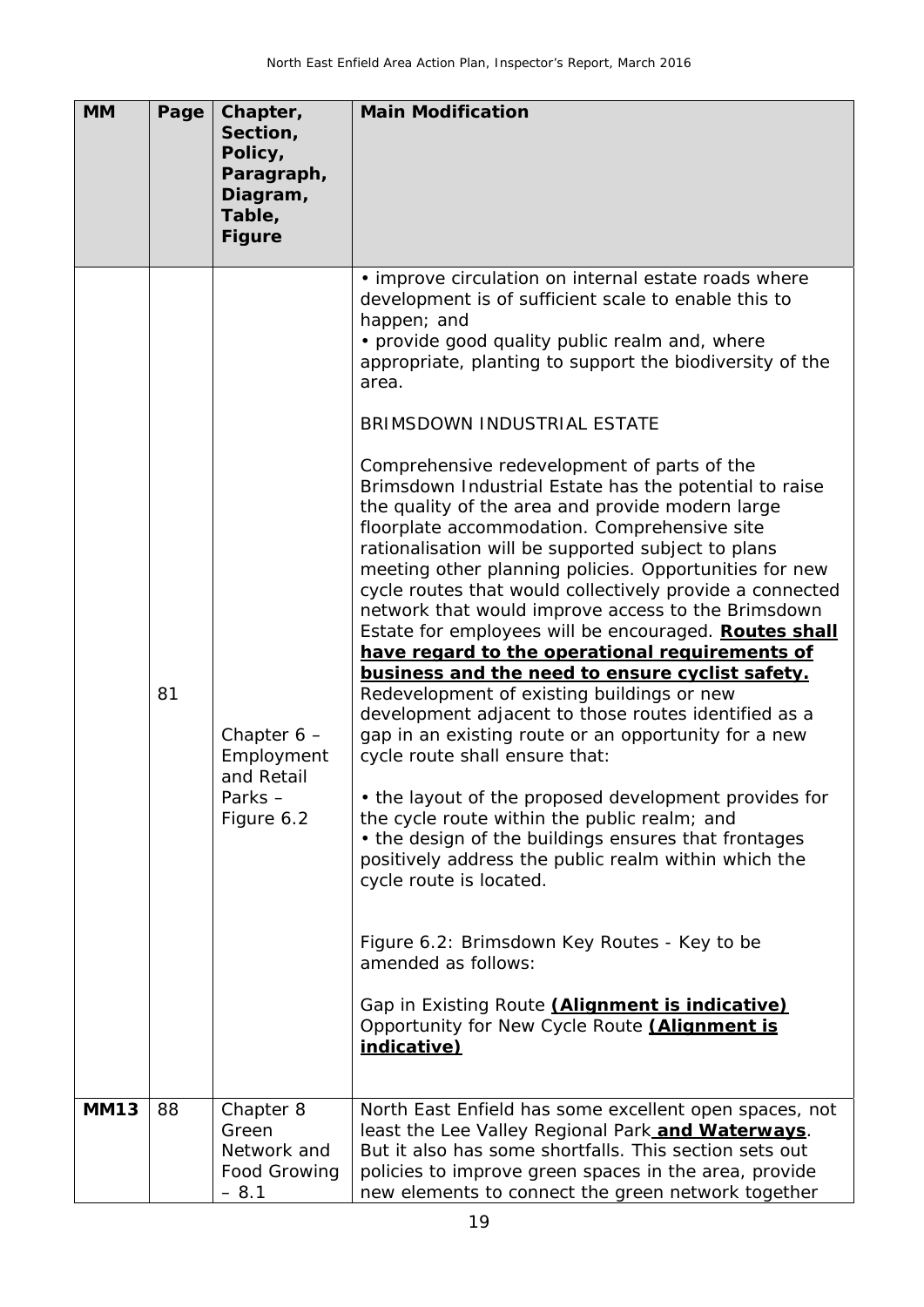| <b>MM</b>   | Page | Chapter,<br>Section,<br>Policy,<br>Paragraph,<br>Diagram,<br>Table,<br><b>Figure</b> | <b>Main Modification</b>                                                                                                                                                                                                                                                                                                                                                                                                                                                                                                                                                                                                                                                                                                                                                                                                                                                                                                                                                                                                                                                                                                                                                                                                                                                                                                                                                                                                                                                                                                                                   |
|-------------|------|--------------------------------------------------------------------------------------|------------------------------------------------------------------------------------------------------------------------------------------------------------------------------------------------------------------------------------------------------------------------------------------------------------------------------------------------------------------------------------------------------------------------------------------------------------------------------------------------------------------------------------------------------------------------------------------------------------------------------------------------------------------------------------------------------------------------------------------------------------------------------------------------------------------------------------------------------------------------------------------------------------------------------------------------------------------------------------------------------------------------------------------------------------------------------------------------------------------------------------------------------------------------------------------------------------------------------------------------------------------------------------------------------------------------------------------------------------------------------------------------------------------------------------------------------------------------------------------------------------------------------------------------------------|
|             | 81   | Chapter $6 -$<br>Employment<br>and Retail<br>Parks-<br>Figure 6.2                    | • improve circulation on internal estate roads where<br>development is of sufficient scale to enable this to<br>happen; and<br>• provide good quality public realm and, where<br>appropriate, planting to support the biodiversity of the<br>area.<br>BRIMSDOWN INDUSTRIAL ESTATE<br>Comprehensive redevelopment of parts of the<br>Brimsdown Industrial Estate has the potential to raise<br>the quality of the area and provide modern large<br>floorplate accommodation. Comprehensive site<br>rationalisation will be supported subject to plans<br>meeting other planning policies. Opportunities for new<br>cycle routes that would collectively provide a connected<br>network that would improve access to the Brimsdown<br>Estate for employees will be encouraged. Routes shall<br>have regard to the operational requirements of<br>business and the need to ensure cyclist safety.<br>Redevelopment of existing buildings or new<br>development adjacent to those routes identified as a<br>gap in an existing route or an opportunity for a new<br>cycle route shall ensure that:<br>• the layout of the proposed development provides for<br>the cycle route within the public realm; and<br>• the design of the buildings ensures that frontages<br>positively address the public realm within which the<br>cycle route is located.<br>Figure 6.2: Brimsdown Key Routes - Key to be<br>amended as follows:<br>Gap in Existing Route <i>(Alignment is indicative)</i><br>Opportunity for New Cycle Route <i>(Alignment is</i><br>indicative) |
| <b>MM13</b> | 88   | Chapter 8<br>Green<br>Network and<br>Food Growing<br>$-8.1$                          | North East Enfield has some excellent open spaces, not<br>least the Lee Valley Regional Park and Waterways.<br>But it also has some shortfalls. This section sets out<br>policies to improve green spaces in the area, provide<br>new elements to connect the green network together                                                                                                                                                                                                                                                                                                                                                                                                                                                                                                                                                                                                                                                                                                                                                                                                                                                                                                                                                                                                                                                                                                                                                                                                                                                                       |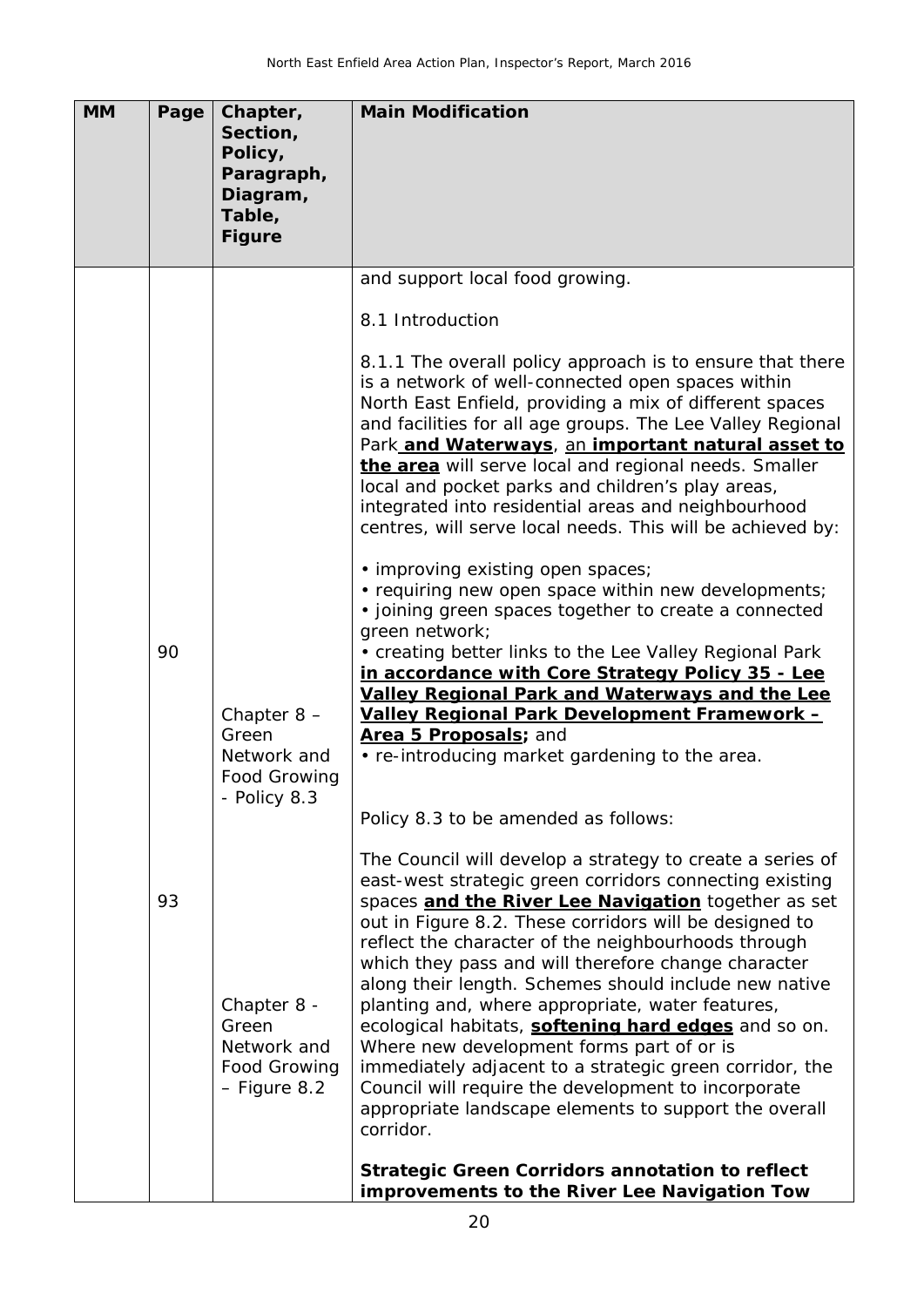| <b>MM</b> | Page | Chapter,<br>Section,<br>Policy,<br>Paragraph,<br>Diagram,<br>Table,<br><b>Figure</b> | <b>Main Modification</b>                                                                                                                                                                                                                                                                                                                                                                                                                                                                                                                                                                                                                                                                                                                                                                              |
|-----------|------|--------------------------------------------------------------------------------------|-------------------------------------------------------------------------------------------------------------------------------------------------------------------------------------------------------------------------------------------------------------------------------------------------------------------------------------------------------------------------------------------------------------------------------------------------------------------------------------------------------------------------------------------------------------------------------------------------------------------------------------------------------------------------------------------------------------------------------------------------------------------------------------------------------|
|           |      |                                                                                      | and support local food growing.                                                                                                                                                                                                                                                                                                                                                                                                                                                                                                                                                                                                                                                                                                                                                                       |
|           |      |                                                                                      | 8.1 Introduction                                                                                                                                                                                                                                                                                                                                                                                                                                                                                                                                                                                                                                                                                                                                                                                      |
|           |      |                                                                                      | 8.1.1 The overall policy approach is to ensure that there<br>is a network of well-connected open spaces within<br>North East Enfield, providing a mix of different spaces<br>and facilities for all age groups. The Lee Valley Regional<br>Park and Waterways, an important natural asset to<br>the area will serve local and regional needs. Smaller<br>local and pocket parks and children's play areas,<br>integrated into residential areas and neighbourhood<br>centres, will serve local needs. This will be achieved by:                                                                                                                                                                                                                                                                       |
|           | 90   | Chapter $8 -$<br>Green<br>Network and<br>Food Growing<br>- Policy 8.3                | · improving existing open spaces;<br>• requiring new open space within new developments;<br>• joining green spaces together to create a connected<br>green network;<br>• creating better links to the Lee Valley Regional Park<br>in accordance with Core Strategy Policy 35 - Lee<br><b>Valley Regional Park and Waterways and the Lee</b><br>Valley Regional Park Development Framework -<br>Area 5 Proposals; and<br>• re-introducing market gardening to the area.                                                                                                                                                                                                                                                                                                                                |
|           | 93   | Chapter 8 -<br>Green<br>Network and<br>Food Growing<br>- Figure 8.2                  | Policy 8.3 to be amended as follows:<br>The Council will develop a strategy to create a series of<br>east-west strategic green corridors connecting existing<br>spaces and the River Lee Navigation together as set<br>out in Figure 8.2. These corridors will be designed to<br>reflect the character of the neighbourhoods through<br>which they pass and will therefore change character<br>along their length. Schemes should include new native<br>planting and, where appropriate, water features,<br>ecological habitats, softening hard edges and so on.<br>Where new development forms part of or is<br>immediately adjacent to a strategic green corridor, the<br>Council will require the development to incorporate<br>appropriate landscape elements to support the overall<br>corridor. |
|           |      |                                                                                      | <b>Strategic Green Corridors annotation to reflect</b><br>improvements to the River Lee Navigation Tow                                                                                                                                                                                                                                                                                                                                                                                                                                                                                                                                                                                                                                                                                                |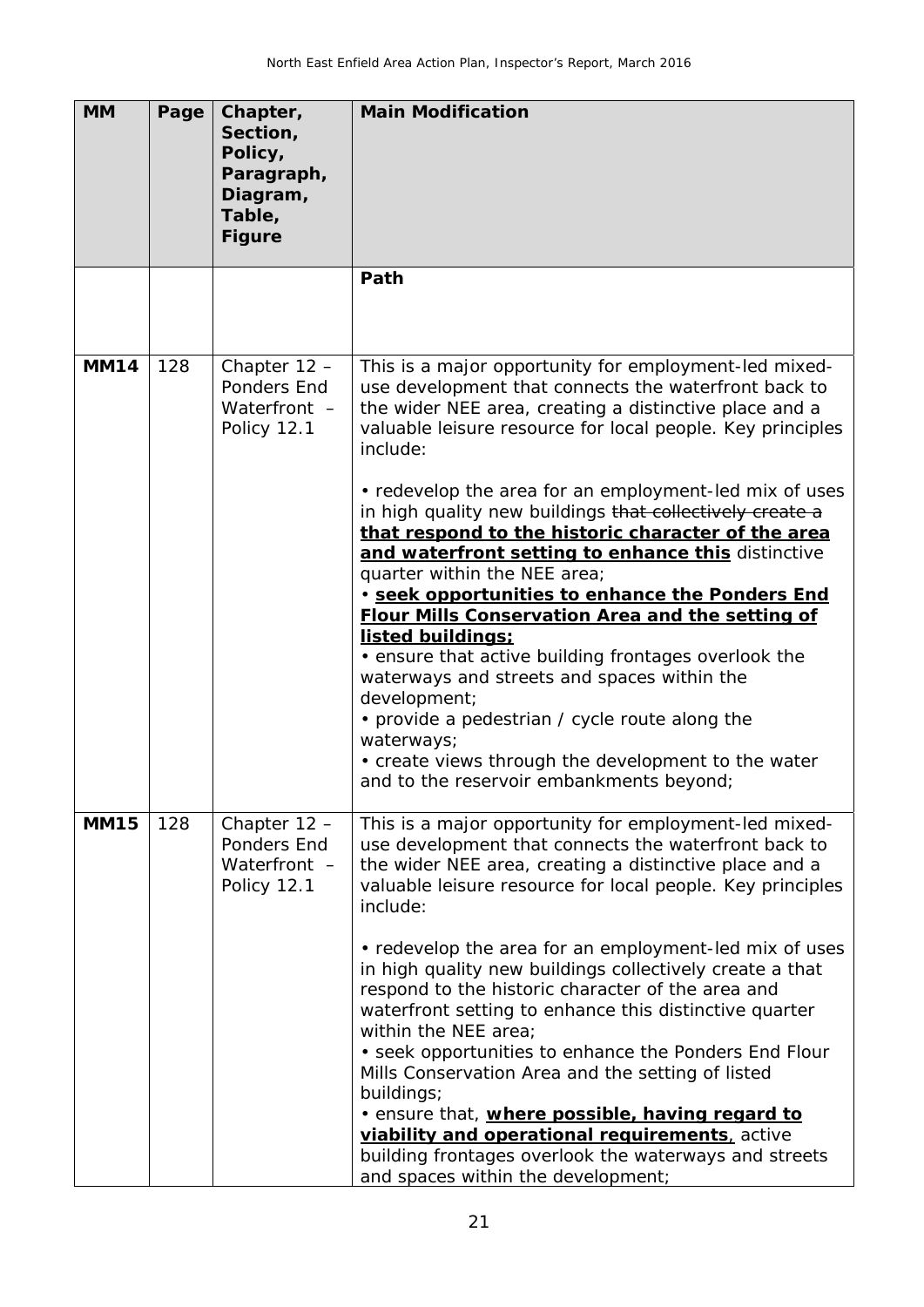| <b>MM</b>   | Page | Chapter,<br>Section,<br>Policy,<br>Paragraph,<br>Diagram,<br>Table,<br><b>Figure</b> | <b>Main Modification</b>                                                                                                                                                                                                                                                                                                                                                                                                                                                                                                                                                                                                                                                                                                                                                                                                                       |
|-------------|------|--------------------------------------------------------------------------------------|------------------------------------------------------------------------------------------------------------------------------------------------------------------------------------------------------------------------------------------------------------------------------------------------------------------------------------------------------------------------------------------------------------------------------------------------------------------------------------------------------------------------------------------------------------------------------------------------------------------------------------------------------------------------------------------------------------------------------------------------------------------------------------------------------------------------------------------------|
|             |      |                                                                                      | Path                                                                                                                                                                                                                                                                                                                                                                                                                                                                                                                                                                                                                                                                                                                                                                                                                                           |
| <b>MM14</b> | 128  | Chapter 12 -<br>Ponders End<br>Waterfront -<br>Policy 12.1                           | This is a major opportunity for employment-led mixed-<br>use development that connects the waterfront back to<br>the wider NEE area, creating a distinctive place and a<br>valuable leisure resource for local people. Key principles<br>include:<br>• redevelop the area for an employment-led mix of uses<br>in high quality new buildings that collectively create a                                                                                                                                                                                                                                                                                                                                                                                                                                                                        |
|             |      |                                                                                      | that respond to the historic character of the area<br>and waterfront setting to enhance this distinctive<br>quarter within the NEE area;<br>· seek opportunities to enhance the Ponders End<br><b>Flour Mills Conservation Area and the setting of</b><br>listed buildings:<br>• ensure that active building frontages overlook the<br>waterways and streets and spaces within the<br>development;<br>• provide a pedestrian / cycle route along the<br>waterways;<br>• create views through the development to the water<br>and to the reservoir embankments beyond;                                                                                                                                                                                                                                                                          |
| <b>MM15</b> | 128  | Chapter $12 -$<br>Ponders End<br>Waterfront -<br>Policy 12.1                         | This is a major opportunity for employment-led mixed-<br>use development that connects the waterfront back to<br>the wider NEE area, creating a distinctive place and a<br>valuable leisure resource for local people. Key principles<br>include:<br>• redevelop the area for an employment-led mix of uses<br>in high quality new buildings collectively create a that<br>respond to the historic character of the area and<br>waterfront setting to enhance this distinctive quarter<br>within the NEE area;<br>• seek opportunities to enhance the Ponders End Flour<br>Mills Conservation Area and the setting of listed<br>buildings;<br>. ensure that, where possible, having regard to<br>viability and operational requirements, active<br>building frontages overlook the waterways and streets<br>and spaces within the development; |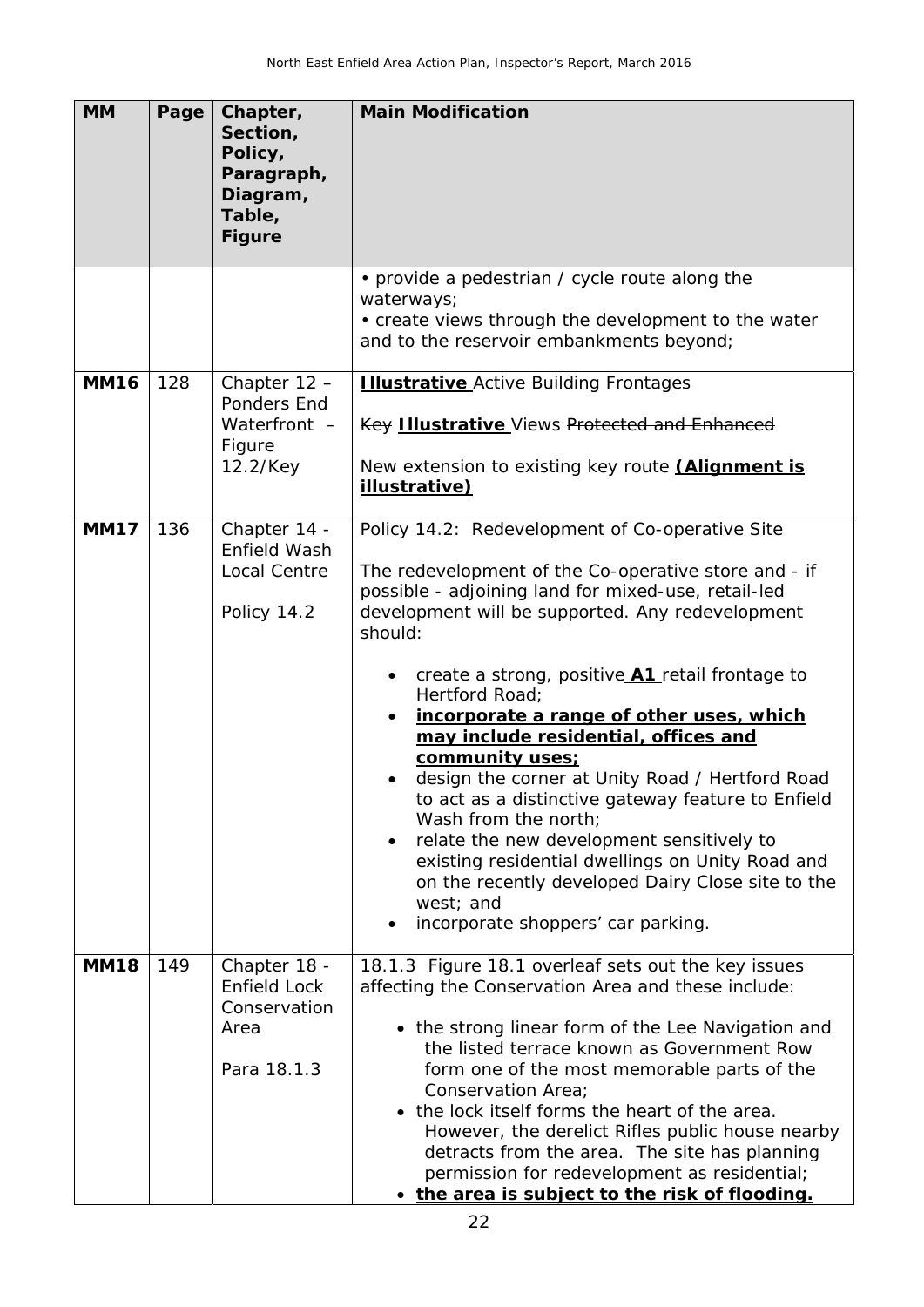| <b>MM</b>   | Page | Chapter,<br>Section,<br>Policy,<br>Paragraph,<br>Diagram,<br>Table,<br><b>Figure</b> | <b>Main Modification</b>                                                                                                                                                                                                                                                                                                                                                                                                                                                                                                                                                                                                                                                                                                                                                             |
|-------------|------|--------------------------------------------------------------------------------------|--------------------------------------------------------------------------------------------------------------------------------------------------------------------------------------------------------------------------------------------------------------------------------------------------------------------------------------------------------------------------------------------------------------------------------------------------------------------------------------------------------------------------------------------------------------------------------------------------------------------------------------------------------------------------------------------------------------------------------------------------------------------------------------|
|             |      |                                                                                      | • provide a pedestrian / cycle route along the<br>waterways;<br>• create views through the development to the water<br>and to the reservoir embankments beyond;                                                                                                                                                                                                                                                                                                                                                                                                                                                                                                                                                                                                                      |
| <b>MM16</b> | 128  | Chapter $12 -$<br>Ponders End<br>Waterfront -<br>Figure<br>12.2/Key                  | <b>Illustrative</b> Active Building Frontages<br><b>Key Illustrative</b> Views Protected and Enhanced<br>New extension to existing key route <b>(Alignment is</b><br>illustrative)                                                                                                                                                                                                                                                                                                                                                                                                                                                                                                                                                                                                   |
| <b>MM17</b> | 136  | Chapter 14 -<br>Enfield Wash<br>Local Centre<br>Policy 14.2                          | Policy 14.2: Redevelopment of Co-operative Site<br>The redevelopment of the Co-operative store and - if<br>possible - adjoining land for mixed-use, retail-led<br>development will be supported. Any redevelopment<br>should:<br>create a strong, positive <b>A1</b> retail frontage to<br>$\bullet$<br>Hertford Road;<br>incorporate a range of other uses, which<br>may include residential, offices and<br>community uses;<br>design the corner at Unity Road / Hertford Road<br>to act as a distinctive gateway feature to Enfield<br>Wash from the north;<br>relate the new development sensitively to<br>$\bullet$<br>existing residential dwellings on Unity Road and<br>on the recently developed Dairy Close site to the<br>west; and<br>incorporate shoppers' car parking. |
| <b>MM18</b> | 149  | Chapter 18 -<br>Enfield Lock<br>Conservation<br>Area<br>Para 18.1.3                  | 18.1.3 Figure 18.1 overleaf sets out the key issues<br>affecting the Conservation Area and these include:<br>• the strong linear form of the Lee Navigation and<br>the listed terrace known as Government Row<br>form one of the most memorable parts of the<br>Conservation Area;<br>• the lock itself forms the heart of the area.<br>However, the derelict Rifles public house nearby<br>detracts from the area. The site has planning<br>permission for redevelopment as residential;<br>• the area is subject to the risk of flooding.                                                                                                                                                                                                                                          |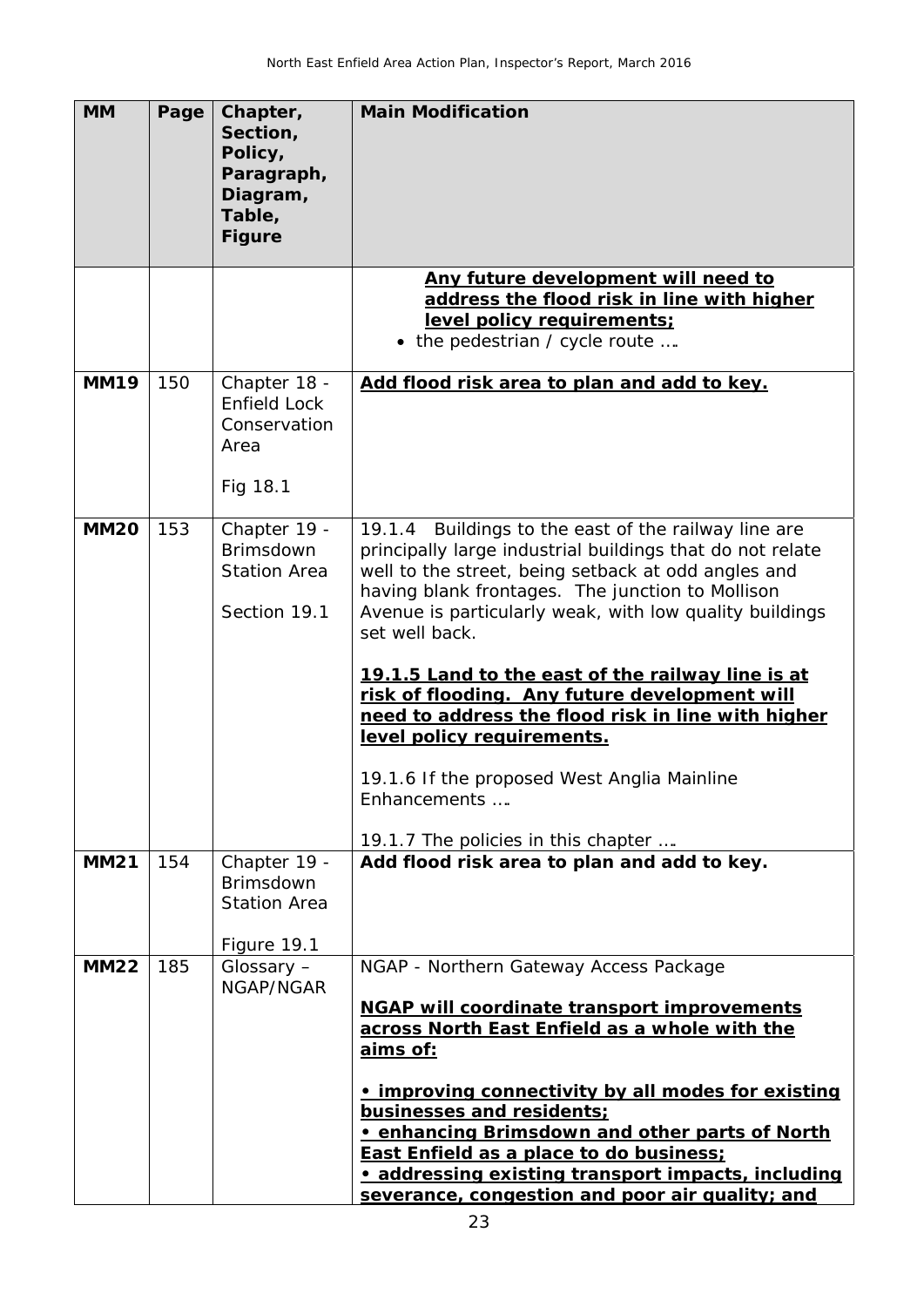| <b>MM</b>   | Page | Chapter,<br>Section,<br>Policy,<br>Paragraph,<br>Diagram,<br>Table,<br><b>Figure</b> | <b>Main Modification</b>                                                                                                                                                                                                                                                                                                                                                                                                                                                                                                                                                                                  |
|-------------|------|--------------------------------------------------------------------------------------|-----------------------------------------------------------------------------------------------------------------------------------------------------------------------------------------------------------------------------------------------------------------------------------------------------------------------------------------------------------------------------------------------------------------------------------------------------------------------------------------------------------------------------------------------------------------------------------------------------------|
|             |      |                                                                                      | Any future development will need to<br>address the flood risk in line with higher<br>level policy requirements:<br>• the pedestrian / cycle route                                                                                                                                                                                                                                                                                                                                                                                                                                                         |
| <b>MM19</b> | 150  | Chapter 18 -<br>Enfield Lock<br>Conservation<br>Area<br>Fig 18.1                     | Add flood risk area to plan and add to key.                                                                                                                                                                                                                                                                                                                                                                                                                                                                                                                                                               |
| <b>MM20</b> | 153  | Chapter 19 -<br><b>Brimsdown</b><br><b>Station Area</b><br>Section 19.1              | 19.1.4 Buildings to the east of the railway line are<br>principally large industrial buildings that do not relate<br>well to the street, being setback at odd angles and<br>having blank frontages. The junction to Mollison<br>Avenue is particularly weak, with low quality buildings<br>set well back.<br>19.1.5 Land to the east of the railway line is at<br>risk of flooding. Any future development will<br>need to address the flood risk in line with higher<br>level policy requirements.<br>19.1.6 If the proposed West Anglia Mainline<br>Enhancements<br>19.1.7 The policies in this chapter |
| <b>MM21</b> | 154  | Chapter 19 -<br><b>Brimsdown</b><br><b>Station Area</b><br>Figure 19.1               | Add flood risk area to plan and add to key.                                                                                                                                                                                                                                                                                                                                                                                                                                                                                                                                                               |
| <b>MM22</b> | 185  | Glossary -<br>NGAP/NGAR                                                              | NGAP - Northern Gateway Access Package<br><b>NGAP will coordinate transport improvements</b><br>across North East Enfield as a whole with the<br><u>aims of:</u><br>improving connectivity by all modes for existing<br>businesses and residents;<br>. enhancing Brimsdown and other parts of North<br><b>East Enfield as a place to do business;</b><br>addressing existing transport impacts, including<br>severance, congestion and poor air quality; and                                                                                                                                              |